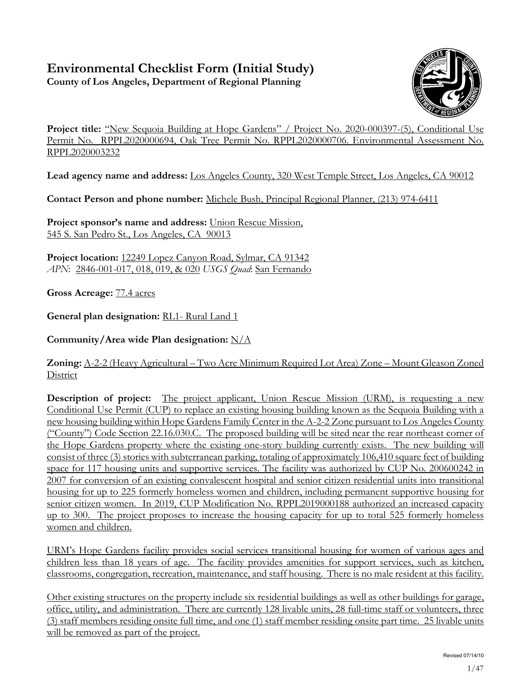# **Environmental Checklist Form (Initial Study)**

**County of Los Angeles, Department of Regional Planning**



Project title: "New Sequoia Building at Hope Gardens" / Project No. 2020-000397-(5), Conditional Use Permit No. RPPL2020000694, Oak Tree Permit No. RPPL2020000706. Environmental Assessment No. RPPL2020003232

**Lead agency name and address:** Los Angeles County, 320 West Temple Street, Los Angeles, CA 90012

**Contact Person and phone number:** Michele Bush, Principal Regional Planner, (213) 974-6411

**Project sponsor's name and address:** Union Rescue Mission, 545 S. San Pedro St., Los Angeles, CA 90013

**Project location:** 12249 Lopez Canyon Road, Sylmar, CA 91342 *APN*: 2846-001-017, 018, 019, & 020 *USGS Quad*: San Fernando

**Gross Acreage:** 77.4 acres

**General plan designation:** RL1- Rural Land 1

**Community/Area wide Plan designation:** N/A

### **Zoning:** A-2-2 (Heavy Agricultural – Two Acre Minimum Required Lot Area) Zone – Mount Gleason Zoned **District**

**Description of project:** The project applicant, Union Rescue Mission (URM), is requesting a new Conditional Use Permit (CUP) to replace an existing housing building known as the Sequoia Building with a new housing building within Hope Gardens Family Center in the A-2-2 Zone pursuant to Los Angeles County ("County") Code Section 22.16.030.C. The proposed building will be sited near the rear northeast corner of the Hope Gardens property where the existing one-story building currently exists. The new building will consist of three (3) stories with subterranean parking, totaling of approximately 106,410 square feet of building space for 117 housing units and supportive services. The facility was authorized by CUP No. 200600242 in 2007 for conversion of an existing convalescent hospital and senior citizen residential units into transitional housing for up to 225 formerly homeless women and children, including permanent supportive housing for senior citizen women. In 2019, CUP Modification No. RPPL2019000188 authorized an increased capacity up to 300. The project proposes to increase the housing capacity for up to total 525 formerly homeless women and children.

URM's Hope Gardens facility provides social services transitional housing for women of various ages and children less than 18 years of age. The facility provides amenities for support services, such as kitchen, classrooms, congregation, recreation, maintenance, and staff housing. There is no male resident at this facility.

Other existing structures on the property include six residential buildings as well as other buildings for garage, office, utility, and administration. There are currently 128 livable units, 28 full-time staff or volunteers, three (3) staff members residing onsite full time, and one (1) staff member residing onsite part time. 25 livable units will be removed as part of the project.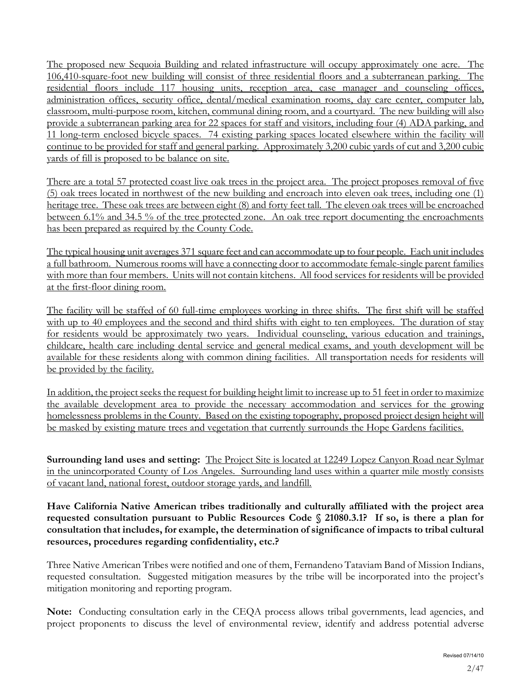The proposed new Sequoia Building and related infrastructure will occupy approximately one acre. The 106,410-square-foot new building will consist of three residential floors and a subterranean parking. The residential floors include 117 housing units, reception area, case manager and counseling offices, administration offices, security office, dental/medical examination rooms, day care center, computer lab, classroom, multi-purpose room, kitchen, communal dining room, and a courtyard. The new building will also provide a subterranean parking area for 22 spaces for staff and visitors, including four (4) ADA parking, and 11 long-term enclosed bicycle spaces. 74 existing parking spaces located elsewhere within the facility will continue to be provided for staff and general parking. Approximately 3,200 cubic yards of cut and 3,200 cubic yards of fill is proposed to be balance on site.

There are a total 57 protected coast live oak trees in the project area. The project proposes removal of five (5) oak trees located in northwest of the new building and encroach into eleven oak trees, including one (1) heritage tree. These oak trees are between eight (8) and forty feet tall. The eleven oak trees will be encroached between 6.1% and 34.5 % of the tree protected zone. An oak tree report documenting the encroachments has been prepared as required by the County Code.

The typical housing unit averages 371 square feet and can accommodate up to four people. Each unit includes a full bathroom. Numerous rooms will have a connecting door to accommodate female-single parent families with more than four members. Units will not contain kitchens. All food services for residents will be provided at the first-floor dining room.

The facility will be staffed of 60 full-time employees working in three shifts. The first shift will be staffed with up to 40 employees and the second and third shifts with eight to ten employees. The duration of stay for residents would be approximately two years. Individual counseling, various education and trainings, childcare, health care including dental service and general medical exams, and youth development will be available for these residents along with common dining facilities. All transportation needs for residents will be provided by the facility.

In addition, the project seeks the request for building height limit to increase up to 51 feet in order to maximize the available development area to provide the necessary accommodation and services for the growing homelessness problems in the County. Based on the existing topography, proposed project design height will be masked by existing mature trees and vegetation that currently surrounds the Hope Gardens facilities.

**Surrounding land uses and setting:** The Project Site is located at 12249 Lopez Canyon Road near Sylmar in the unincorporated County of Los Angeles. Surrounding land uses within a quarter mile mostly consists of vacant land, national forest, outdoor storage yards, and landfill.

**Have California Native American tribes traditionally and culturally affiliated with the project area requested consultation pursuant to Public Resources Code § 21080.3.1? If so, is there a plan for consultation that includes, for example, the determination of significance of impacts to tribal cultural resources, procedures regarding confidentiality, etc.?**

Three Native American Tribes were notified and one of them, Fernandeno Tataviam Band of Mission Indians, requested consultation. Suggested mitigation measures by the tribe will be incorporated into the project's mitigation monitoring and reporting program.

**Note:** Conducting consultation early in the CEQA process allows tribal governments, lead agencies, and project proponents to discuss the level of environmental review, identify and address potential adverse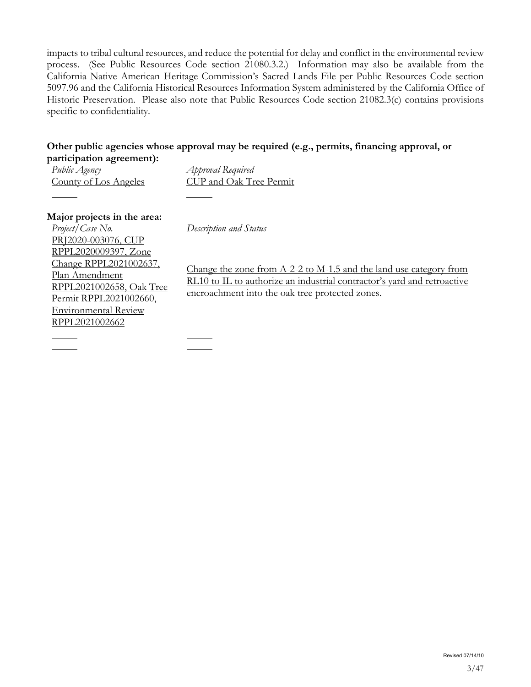impacts to tribal cultural resources, and reduce the potential for delay and conflict in the environmental review process. (See Public Resources Code section 21080.3.2.) Information may also be available from the California Native American Heritage Commission's Sacred Lands File per Public Resources Code section 5097.96 and the California Historical Resources Information System administered by the California Office of Historic Preservation. Please also note that Public Resources Code section 21082.3(c) contains provisions specific to confidentiality.

### **Other public agencies whose approval may be required (e.g., permits, financing approval, or participation agreement):**

*Public Agency Approval Required* County of Los Angeles CUP and Oak Tree Permit

**Major projects in the area:** *Project/Case No. Description and Status* PRJ2020-003076, CUP RPPL2020009397, Zone Change RPPL2021002637, Plan Amendment RPPL2021002658, Oak Tree Permit RPPL2021002660, Environmental Review RPPL2021002662

Change the zone from A-2-2 to M-1.5 and the land use category from RL10 to IL to authorize an industrial contractor's yard and retroactive encroachment into the oak tree protected zones.

Revised 07/14/10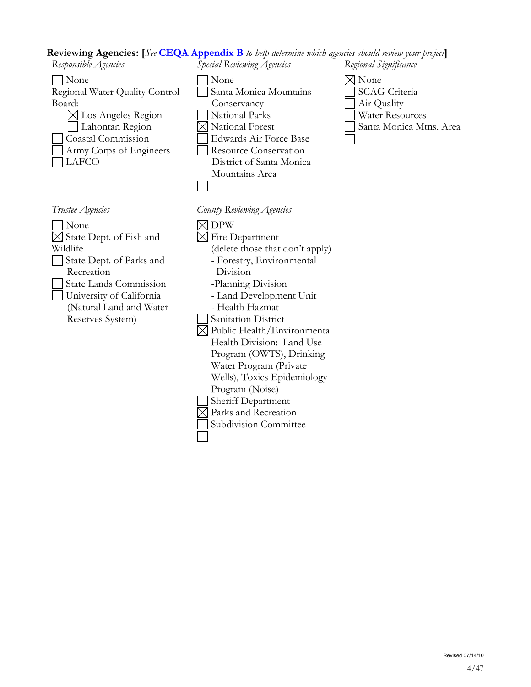#### **Reviewing Agencies: [***See* **[CEQA Appendix B](http://ceres.ca.gov/ceqa/guidelines/pdf/appen_b.pdf)** *to help determine which agencies should review your project***]**

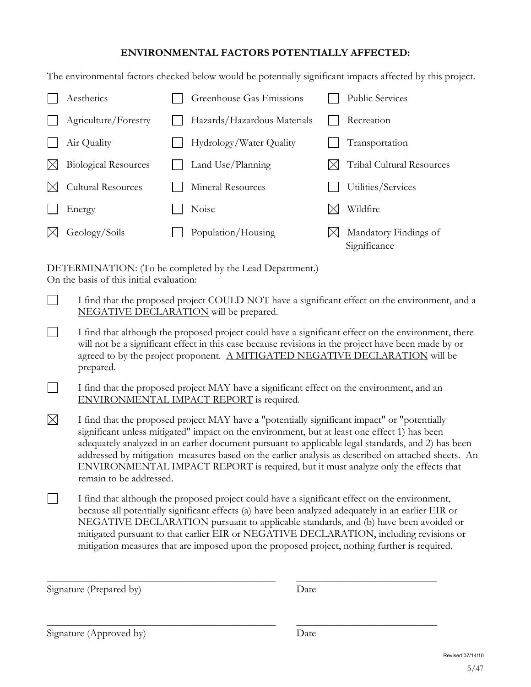#### **ENVIRONMENTAL FACTORS POTENTIALLY AFFECTED:**

The environmental factors checked below would be potentially significant impacts affected by this project.

| Aesthetics                  | Greenhouse Gas Emissions    | <b>Public Services</b>                |
|-----------------------------|-----------------------------|---------------------------------------|
| Agriculture/Forestry        | Hazards/Hazardous Materials | Recreation                            |
| Air Quality                 | Hydrology/Water Quality     | Transportation                        |
| <b>Biological Resources</b> | Land Use/Planning           | Tribal Cultural Resources             |
| <b>Cultural Resources</b>   | Mineral Resources           | Utilities/Services                    |
| Energy                      | Noise                       | Wildfire                              |
| Geology/Soils               | Population/Housing          | Mandatory Findings of<br>Significance |

DETERMINATION: (To be completed by the Lead Department.) On the basis of this initial evaluation:

- $\mathbb{R}^n$ I find that the proposed project COULD NOT have a significant effect on the environment, and a NEGATIVE DECLARATION will be prepared.
- $\Box$ I find that although the proposed project could have a significant effect on the environment, there will not be a significant effect in this case because revisions in the project have been made by or agreed to by the project proponent. A MITIGATED NEGATIVE DECLARATION will be prepared.
- $\mathbf{L}$ I find that the proposed project MAY have a significant effect on the environment, and an ENVIRONMENTAL IMPACT REPORT is required.
- $\boxtimes$ I find that the proposed project MAY have a "potentially significant impact" or "potentially significant unless mitigated" impact on the environment, but at least one effect 1) has been adequately analyzed in an earlier document pursuant to applicable legal standards, and 2) has been addressed by mitigation measures based on the earlier analysis as described on attached sheets. An ENVIRONMENTAL IMPACT REPORT is required, but it must analyze only the effects that remain to be addressed.
- $\Box$ I find that although the proposed project could have a significant effect on the environment, because all potentially significant effects (a) have been analyzed adequately in an earlier EIR or NEGATIVE DECLARATION pursuant to applicable standards, and (b) have been avoided or mitigated pursuant to that earlier EIR or NEGATIVE DECLARATION, including revisions or mitigation measures that are imposed upon the proposed project, nothing further is required.

\_\_\_\_\_\_\_\_\_\_\_\_\_\_\_\_\_\_\_\_\_\_\_\_\_\_\_\_\_\_\_\_\_\_\_\_\_\_\_\_\_\_\_\_ \_\_\_\_\_\_\_\_\_\_\_\_\_\_\_\_\_\_\_\_\_\_\_\_\_\_\_

\_\_\_\_\_\_\_\_\_\_\_\_\_\_\_\_\_\_\_\_\_\_\_\_\_\_\_\_\_\_\_\_\_\_\_\_\_\_\_\_\_\_\_\_ \_\_\_\_\_\_\_\_\_\_\_\_\_\_\_\_\_\_\_\_\_\_\_\_\_\_\_

Signature (Prepared by) Date

Signature (Approved by) Date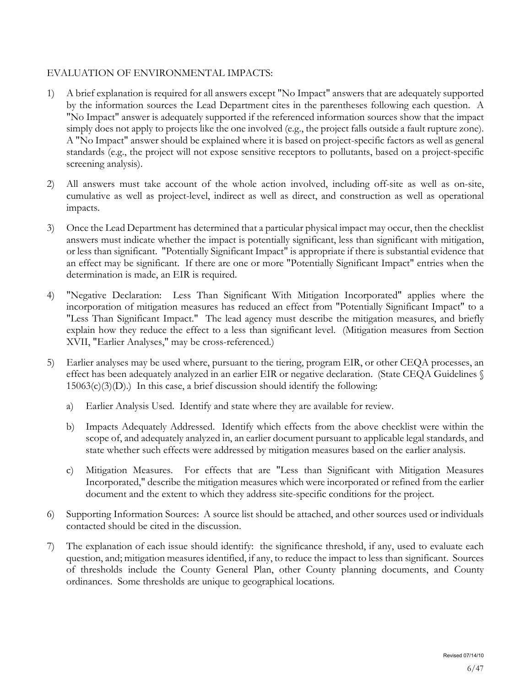#### EVALUATION OF ENVIRONMENTAL IMPACTS:

- 1) A brief explanation is required for all answers except "No Impact" answers that are adequately supported by the information sources the Lead Department cites in the parentheses following each question. A "No Impact" answer is adequately supported if the referenced information sources show that the impact simply does not apply to projects like the one involved (e.g., the project falls outside a fault rupture zone). A "No Impact" answer should be explained where it is based on project-specific factors as well as general standards (e.g., the project will not expose sensitive receptors to pollutants, based on a project-specific screening analysis).
- 2) All answers must take account of the whole action involved, including off-site as well as on-site, cumulative as well as project-level, indirect as well as direct, and construction as well as operational impacts.
- 3) Once the Lead Department has determined that a particular physical impact may occur, then the checklist answers must indicate whether the impact is potentially significant, less than significant with mitigation, or less than significant. "Potentially Significant Impact" is appropriate if there is substantial evidence that an effect may be significant. If there are one or more "Potentially Significant Impact" entries when the determination is made, an EIR is required.
- 4) "Negative Declaration: Less Than Significant With Mitigation Incorporated" applies where the incorporation of mitigation measures has reduced an effect from "Potentially Significant Impact" to a "Less Than Significant Impact." The lead agency must describe the mitigation measures, and briefly explain how they reduce the effect to a less than significant level. (Mitigation measures from Section XVII, "Earlier Analyses," may be cross-referenced.)
- 5) Earlier analyses may be used where, pursuant to the tiering, program EIR, or other CEQA processes, an effect has been adequately analyzed in an earlier EIR or negative declaration. (State CEQA Guidelines §  $15063(c)(3)(D)$ .) In this case, a brief discussion should identify the following:
	- a) Earlier Analysis Used. Identify and state where they are available for review.
	- b) Impacts Adequately Addressed. Identify which effects from the above checklist were within the scope of, and adequately analyzed in, an earlier document pursuant to applicable legal standards, and state whether such effects were addressed by mitigation measures based on the earlier analysis.
	- c) Mitigation Measures. For effects that are "Less than Significant with Mitigation Measures Incorporated," describe the mitigation measures which were incorporated or refined from the earlier document and the extent to which they address site-specific conditions for the project.
- 6) Supporting Information Sources: A source list should be attached, and other sources used or individuals contacted should be cited in the discussion.
- 7) The explanation of each issue should identify: the significance threshold, if any, used to evaluate each question, and; mitigation measures identified, if any, to reduce the impact to less than significant. Sources of thresholds include the County General Plan, other County planning documents, and County ordinances. Some thresholds are unique to geographical locations.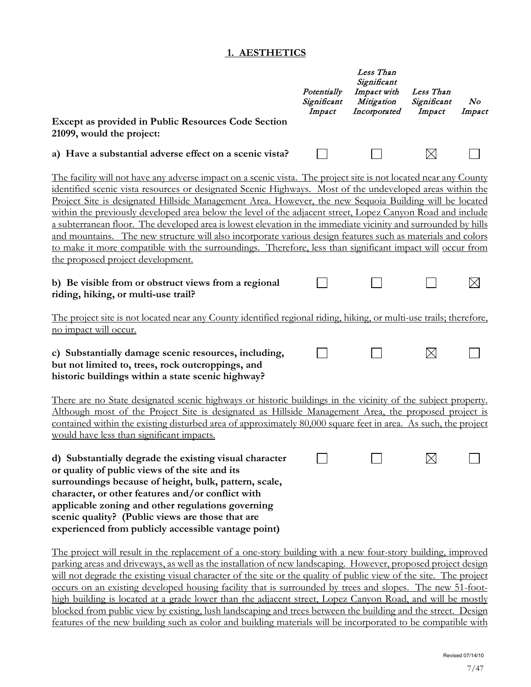#### **1. AESTHETICS**

|                                                                                                                                                                                                                                                                                                                                                                                                                                                                                                                                                                                                                                                                                                                                                                                                                                          | Potentially<br>Significant<br>Impact | Less Than<br>Significant<br>Impact with<br>Mitigation<br>Incorporated | Less Than<br>Significant<br>Impact | $\bm{N o}$<br>Impact |
|------------------------------------------------------------------------------------------------------------------------------------------------------------------------------------------------------------------------------------------------------------------------------------------------------------------------------------------------------------------------------------------------------------------------------------------------------------------------------------------------------------------------------------------------------------------------------------------------------------------------------------------------------------------------------------------------------------------------------------------------------------------------------------------------------------------------------------------|--------------------------------------|-----------------------------------------------------------------------|------------------------------------|----------------------|
| Except as provided in Public Resources Code Section<br>21099, would the project:                                                                                                                                                                                                                                                                                                                                                                                                                                                                                                                                                                                                                                                                                                                                                         |                                      |                                                                       |                                    |                      |
| a) Have a substantial adverse effect on a scenic vista?                                                                                                                                                                                                                                                                                                                                                                                                                                                                                                                                                                                                                                                                                                                                                                                  |                                      |                                                                       | $\boxtimes$                        |                      |
| The facility will not have any adverse impact on a scenic vista. The project site is not located near any County<br>identified scenic vista resources or designated Scenic Highways. Most of the undeveloped areas within the<br>Project Site is designated Hillside Management Area. However, the new Sequoia Building will be located<br>within the previously developed area below the level of the adjacent street, Lopez Canyon Road and include<br>a subterranean floor. The developed area is lowest elevation in the immediate vicinity and surrounded by hills<br>and mountains. The new structure will also incorporate various design features such as materials and colors<br>to make it more compatible with the surroundings. Therefore, less than significant impact will occur from<br>the proposed project development. |                                      |                                                                       |                                    |                      |
| b) Be visible from or obstruct views from a regional<br>riding, hiking, or multi-use trail?                                                                                                                                                                                                                                                                                                                                                                                                                                                                                                                                                                                                                                                                                                                                              |                                      |                                                                       |                                    | $\times$             |
| The project site is not located near any County identified regional riding, hiking, or multi-use trails; therefore,<br>no impact will occur.                                                                                                                                                                                                                                                                                                                                                                                                                                                                                                                                                                                                                                                                                             |                                      |                                                                       |                                    |                      |
| c) Substantially damage scenic resources, including,<br>but not limited to, trees, rock outcroppings, and<br>historic buildings within a state scenic highway?                                                                                                                                                                                                                                                                                                                                                                                                                                                                                                                                                                                                                                                                           |                                      |                                                                       | $\boxtimes$                        |                      |
| There are no State designated scenic highways or historic buildings in the vicinity of the subject property.<br>Although most of the Project Site is designated as Hillside Management Area, the proposed project is<br>contained within the existing disturbed area of approximately 80,000 square feet in area. As such, the project<br>would have less than significant impacts.                                                                                                                                                                                                                                                                                                                                                                                                                                                      |                                      |                                                                       |                                    |                      |
| d) Substantially degrade the existing visual character<br>or quality of public views of the site and its<br>surroundings because of height, bulk, pattern, scale,<br>character, or other features and/or conflict with<br>applicable zoning and other regulations governing<br>scenic quality? (Public views are those that are<br>experienced from publicly accessible vantage point)                                                                                                                                                                                                                                                                                                                                                                                                                                                   |                                      |                                                                       | $\mathord{\bowtie}$                |                      |
| The project will result in the replacement of a one-story building with a new four-story building, improved<br>parking areas and driveways, as well as the installation of new landscaping. However, proposed project design<br>will not degrade the existing visual character of the site or the quality of public view of the site. The project<br>occurs on an existing developed housing facility that is surrounded by trees and slopes. The new 51-foot-<br>high building is located at a grade lower than the adjacent street, Lopez Canyon Road, and will be mostly                                                                                                                                                                                                                                                              |                                      |                                                                       |                                    |                      |

blocked from public view by existing, lush landscaping and trees between the building and the street. Design features of the new building such as color and building materials will be incorporated to be compatible with

Revised 07/14/10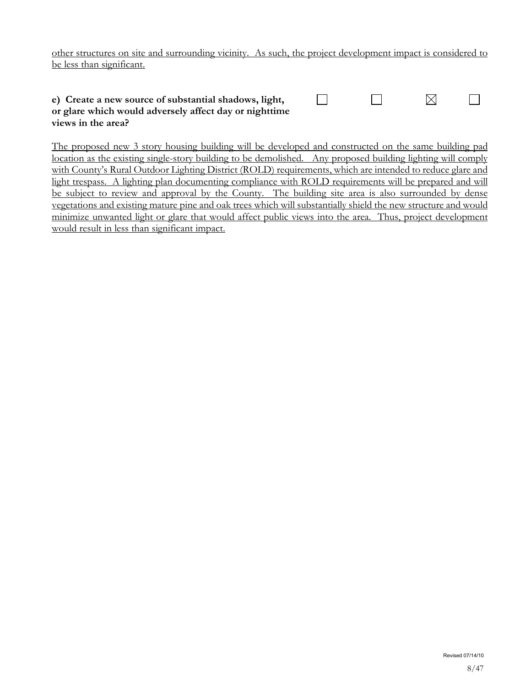other structures on site and surrounding vicinity. As such, the project development impact is considered to be less than significant.

| e) Create a new source of substantial shadows, light,  |  |  |
|--------------------------------------------------------|--|--|
| or glare which would adversely affect day or nighttime |  |  |
| views in the area?                                     |  |  |

The proposed new 3 story housing building will be developed and constructed on the same building pad location as the existing single-story building to be demolished. Any proposed building lighting will comply with County's Rural Outdoor Lighting District (ROLD) requirements, which are intended to reduce glare and light trespass. A lighting plan documenting compliance with ROLD requirements will be prepared and will be subject to review and approval by the County. The building site area is also surrounded by dense vegetations and existing mature pine and oak trees which will substantially shield the new structure and would minimize unwanted light or glare that would affect public views into the area. Thus, project development would result in less than significant impact.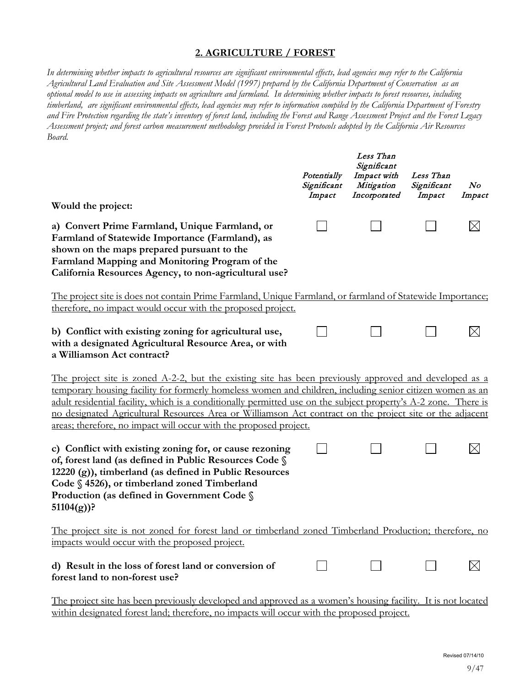#### **2. AGRICULTURE / FOREST**

*In determining whether impacts to agricultural resources are significant environmental effects, lead agencies may refer to the California Agricultural Land Evaluation and Site Assessment Model (1997) prepared by the California Department of Conservation as an optional model to use in assessing impacts on agriculture and farmland. In determining whether impacts to forest resources, including timberland, are significant environmental effects, lead agencies may refer to information compiled by the California Department of Forestry and Fire Protection regarding the state's inventory of forest land, including the Forest and Range Assessment Project and the Forest Legacy Assessment project; and forest carbon measurement methodology provided in Forest Protocols adopted by the California Air Resources Board.*

|                                                                                                                                                                                                                                                                                                                                                                                                                                                                                                                                | Potentially<br>Significant<br>Impact | Less Than<br>Significant<br>Impact with<br>Mitigation<br>Incorporated | Less Than<br>Significant<br>Impact | No<br>Impact |
|--------------------------------------------------------------------------------------------------------------------------------------------------------------------------------------------------------------------------------------------------------------------------------------------------------------------------------------------------------------------------------------------------------------------------------------------------------------------------------------------------------------------------------|--------------------------------------|-----------------------------------------------------------------------|------------------------------------|--------------|
| Would the project:                                                                                                                                                                                                                                                                                                                                                                                                                                                                                                             |                                      |                                                                       |                                    |              |
| a) Convert Prime Farmland, Unique Farmland, or<br>Farmland of Statewide Importance (Farmland), as<br>shown on the maps prepared pursuant to the<br>Farmland Mapping and Monitoring Program of the<br>California Resources Agency, to non-agricultural use?                                                                                                                                                                                                                                                                     |                                      |                                                                       |                                    |              |
| The project site is does not contain Prime Farmland, Unique Farmland, or farmland of Statewide Importance;<br>therefore, no impact would occur with the proposed project.                                                                                                                                                                                                                                                                                                                                                      |                                      |                                                                       |                                    |              |
| b) Conflict with existing zoning for agricultural use,<br>with a designated Agricultural Resource Area, or with<br>a Williamson Act contract?                                                                                                                                                                                                                                                                                                                                                                                  |                                      |                                                                       |                                    |              |
| <u>The project site is zoned A-2-2, but the existing site has been previously approved and developed as a</u><br>temporary housing facility for formerly homeless women and children, including senior citizen women as an<br>adult residential facility, which is a conditionally permitted use on the subject property's A-2 zone. There is<br>no designated Agricultural Resources Area or Williamson Act contract on the project site or the adjacent<br>areas; therefore, no impact will occur with the proposed project. |                                      |                                                                       |                                    |              |
| c) Conflict with existing zoning for, or cause rezoning<br>of, forest land (as defined in Public Resources Code §<br>12220 (g)), timberland (as defined in Public Resources<br>Code § 4526), or timberland zoned Timberland<br>Production (as defined in Government Code §<br>$51104(g)$ ?                                                                                                                                                                                                                                     |                                      |                                                                       |                                    |              |
| <u>The project site is not zoned for forest land or timberland zoned Timberland Production; therefore, no</u><br>impacts would occur with the proposed project.                                                                                                                                                                                                                                                                                                                                                                |                                      |                                                                       |                                    |              |
| d) Result in the loss of forest land or conversion of<br>forest land to non-forest use?                                                                                                                                                                                                                                                                                                                                                                                                                                        |                                      |                                                                       |                                    |              |
| The project site has been previously developed and approved as a women's housing facility. It is not located<br>within designated forest land; therefore, no impacts will occur with the proposed project.                                                                                                                                                                                                                                                                                                                     |                                      |                                                                       |                                    |              |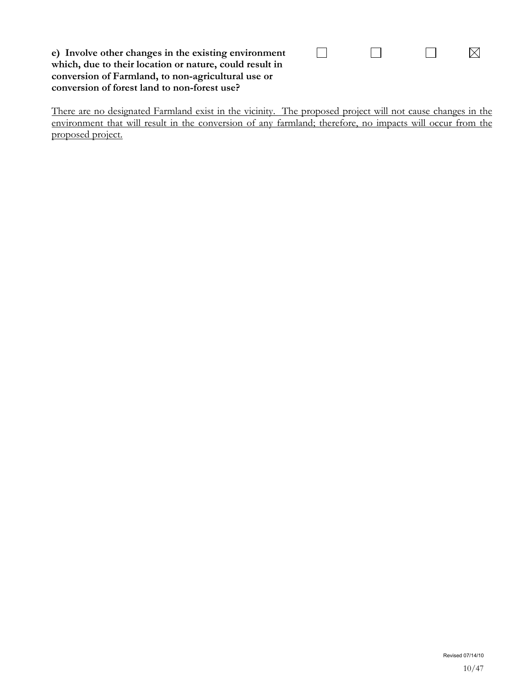| e) Involve other changes in the existing environment    |
|---------------------------------------------------------|
| which, due to their location or nature, could result in |
| conversion of Farmland, to non-agricultural use or      |
| conversion of forest land to non-forest use?            |

There are no designated Farmland exist in the vicinity. The proposed project will not cause changes in the environment that will result in the conversion of any farmland; therefore, no impacts will occur from the proposed project.

 $\Box$ 

 $\Box$ 

 $\Box$ 

 $\boxtimes$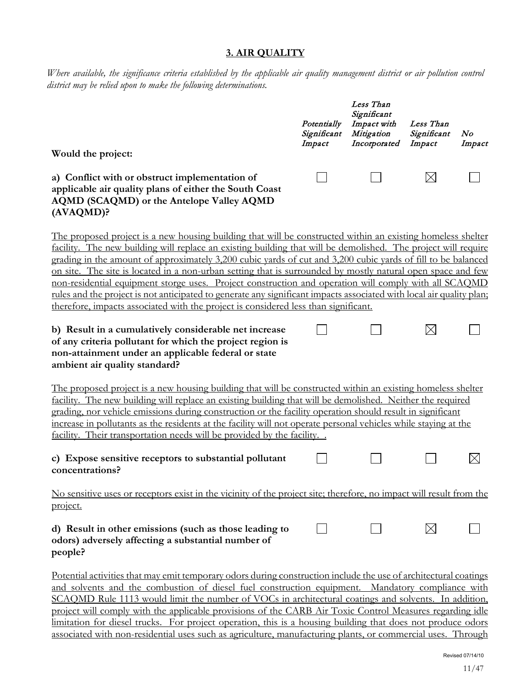#### **3. AIR QUALITY**

*Where available, the significance criteria established by the applicable air quality management district or air pollution control district may be relied upon to make the following determinations.* 

|                                                                                                                                                                                                                                                                                                                                                                                                                                                                                                                                                                                                                                                                                                                                                                                      | Potentially<br>Significant<br>Impact | Less Than<br>Significant<br>Impact with<br>Mitigation<br>Incorporated | Less Than<br>Significant<br>Impact | No<br>Impact |
|--------------------------------------------------------------------------------------------------------------------------------------------------------------------------------------------------------------------------------------------------------------------------------------------------------------------------------------------------------------------------------------------------------------------------------------------------------------------------------------------------------------------------------------------------------------------------------------------------------------------------------------------------------------------------------------------------------------------------------------------------------------------------------------|--------------------------------------|-----------------------------------------------------------------------|------------------------------------|--------------|
| Would the project:                                                                                                                                                                                                                                                                                                                                                                                                                                                                                                                                                                                                                                                                                                                                                                   |                                      |                                                                       |                                    |              |
| a) Conflict with or obstruct implementation of<br>applicable air quality plans of either the South Coast<br>AQMD (SCAQMD) or the Antelope Valley AQMD<br>(AVAQMD)?                                                                                                                                                                                                                                                                                                                                                                                                                                                                                                                                                                                                                   |                                      |                                                                       | $\boxtimes$                        |              |
| The proposed project is a new housing building that will be constructed within an existing homeless shelter<br>facility. The new building will replace an existing building that will be demolished. The project will require<br>grading in the amount of approximately 3,200 cubic yards of cut and 3,200 cubic yards of fill to be balanced<br>on site. The site is located in a non-urban setting that is surrounded by mostly natural open space and few<br>non-residential equipment storge uses. Project construction and operation will comply with all SCAQMD<br>rules and the project is not anticipated to generate any significant impacts associated with local air quality plan;<br>therefore, impacts associated with the project is considered less than significant. |                                      |                                                                       |                                    |              |
| b) Result in a cumulatively considerable net increase<br>of any criteria pollutant for which the project region is<br>non-attainment under an applicable federal or state<br>ambient air quality standard?                                                                                                                                                                                                                                                                                                                                                                                                                                                                                                                                                                           |                                      |                                                                       | $\times$                           |              |
| The proposed project is a new housing building that will be constructed within an existing homeless shelter<br>facility. The new building will replace an existing building that will be demolished. Neither the required<br>grading, nor vehicle emissions during construction or the facility operation should result in significant<br>increase in pollutants as the residents at the facility will not operate personal vehicles while staying at the<br>facility. Their transportation needs will be provided by the facility                                                                                                                                                                                                                                                   |                                      |                                                                       |                                    |              |
| c) Expose sensitive receptors to substantial pollutant<br>concentrations?                                                                                                                                                                                                                                                                                                                                                                                                                                                                                                                                                                                                                                                                                                            |                                      |                                                                       |                                    |              |
| No sensitive uses or receptors exist in the vicinity of the project site; therefore, no impact will result from the<br>project.                                                                                                                                                                                                                                                                                                                                                                                                                                                                                                                                                                                                                                                      |                                      |                                                                       |                                    |              |
| d) Result in other emissions (such as those leading to<br>odors) adversely affecting a substantial number of<br>people?                                                                                                                                                                                                                                                                                                                                                                                                                                                                                                                                                                                                                                                              |                                      |                                                                       | $\boxtimes$                        |              |
| Potential activities that may emit temporary odors during construction include the use of architectural coatings<br>and solvents and the combustion of diesel fuel construction equipment. Mandatory compliance with                                                                                                                                                                                                                                                                                                                                                                                                                                                                                                                                                                 |                                      |                                                                       |                                    |              |

SCAQMD Rule 1113 would limit the number of VOCs in architectural coatings and solvents. In addition, project will comply with the applicable provisions of the CARB Air Toxic Control Measures regarding idle limitation for diesel trucks. For project operation, this is a housing building that does not produce odors associated with non-residential uses such as agriculture, manufacturing plants, or commercial uses. Through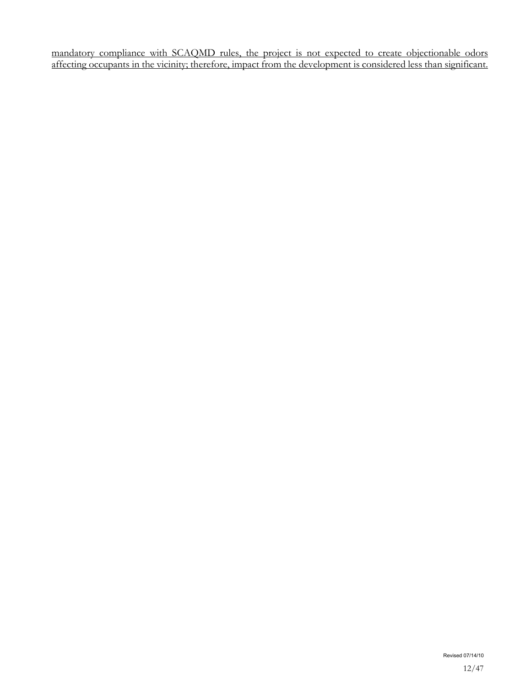mandatory compliance with SCAQMD rules, the project is not expected to create objectionable odors affecting occupants in the vicinity; therefore, impact from the development is considered less than significant.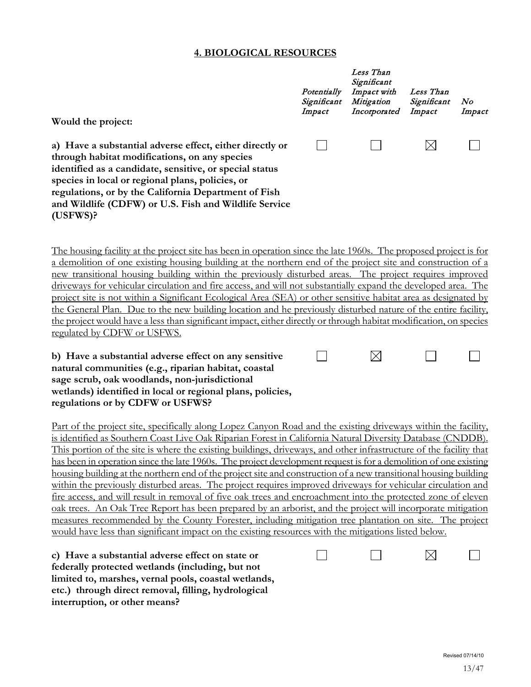#### **4. BIOLOGICAL RESOURCES**

| Would the project:                                                                                                                                                                                                                                                                                                                                       | Potentially<br>Significant<br>Impact | Less Than<br>Significant<br>Impact with<br>Mitigation<br>Incorporated | Less Than<br>Significant<br>Impact | N o<br>Impact |
|----------------------------------------------------------------------------------------------------------------------------------------------------------------------------------------------------------------------------------------------------------------------------------------------------------------------------------------------------------|--------------------------------------|-----------------------------------------------------------------------|------------------------------------|---------------|
| a) Have a substantial adverse effect, either directly or<br>through habitat modifications, on any species<br>identified as a candidate, sensitive, or special status<br>species in local or regional plans, policies, or<br>regulations, or by the California Department of Fish<br>and Wildlife (CDFW) or U.S. Fish and Wildlife Service<br>$(USFWS)$ ? |                                      |                                                                       |                                    |               |

The housing facility at the project site has been in operation since the late 1960s. The proposed project is for a demolition of one existing housing building at the northern end of the project site and construction of a new transitional housing building within the previously disturbed areas. The project requires improved driveways for vehicular circulation and fire access, and will not substantially expand the developed area. The project site is not within a Significant Ecological Area (SEA) or other sensitive habitat area as designated by the General Plan. Due to the new building location and he previously disturbed nature of the entire facility, the project would have a less than significant impact, either directly or through habitat modification, on species regulated by CDFW or USFWS.

 $\Box$ 

 $\boxtimes$ 

 $\Box$ 

 $\Box$ 

**b) Have a substantial adverse effect on any sensitive natural communities (e.g., riparian habitat, coastal sage scrub, oak woodlands, non-jurisdictional wetlands) identified in local or regional plans, policies, regulations or by CDFW or USFWS?** 

Part of the project site, specifically along Lopez Canyon Road and the existing driveways within the facility, is identified as Southern Coast Live Oak Riparian Forest in California Natural Diversity Database (CNDDB). This portion of the site is where the existing buildings, driveways, and other infrastructure of the facility that has been in operation since the late 1960s. The project development request is for a demolition of one existing housing building at the northern end of the project site and construction of a new transitional housing building within the previously disturbed areas. The project requires improved driveways for vehicular circulation and fire access, and will result in removal of five oak trees and encroachment into the protected zone of eleven oak trees. An Oak Tree Report has been prepared by an arborist, and the project will incorporate mitigation measures recommended by the County Forester, including mitigation tree plantation on site. The project would have less than significant impact on the existing resources with the mitigations listed below.

**c) Have a substantial adverse effect on state or federally protected wetlands (including, but not limited to, marshes, vernal pools, coastal wetlands, etc.) through direct removal, filling, hydrological interruption, or other means?**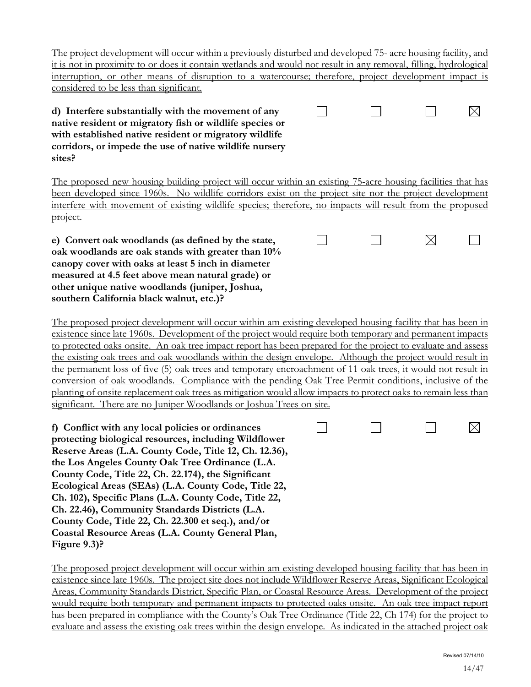$\boxtimes$ 

The project development will occur within a previously disturbed and developed 75- acre housing facility, and it is not in proximity to or does it contain wetlands and would not result in any removal, filling, hydrological interruption, or other means of disruption to a watercourse; therefore, project development impact is considered to be less than significant.

 $\Box$ 

 $\vert \ \ \vert$ 

 $\vert \ \ \vert$ 

**d) Interfere substantially with the movement of any native resident or migratory fish or wildlife species or with established native resident or migratory wildlife corridors, or impede the use of native wildlife nursery sites?**

The proposed new housing building project will occur within an existing 75-acre housing facilities that has been developed since 1960s. No wildlife corridors exist on the project site nor the project development interfere with movement of existing wildlife species; therefore, no impacts will result from the proposed project.

**e) Convert oak woodlands (as defined by the state, oak woodlands are oak stands with greater than 10% canopy cover with oaks at least 5 inch in diameter measured at 4.5 feet above mean natural grade) or other unique native woodlands (juniper, Joshua, southern California black walnut, etc.)?**

The proposed project development will occur within am existing developed housing facility that has been in existence since late 1960s. Development of the project would require both temporary and permanent impacts to protected oaks onsite. An oak tree impact report has been prepared for the project to evaluate and assess the existing oak trees and oak woodlands within the design envelope. Although the project would result in the permanent loss of five (5) oak trees and temporary encroachment of 11 oak trees, it would not result in conversion of oak woodlands. Compliance with the pending Oak Tree Permit conditions, inclusive of the planting of onsite replacement oak trees as mitigation would allow impacts to protect oaks to remain less than significant. There are no Juniper Woodlands or Joshua Trees on site.

**f) Conflict with any local policies or ordinances protecting biological resources, including Wildflower Reserve Areas (L.A. County Code, Title 12, Ch. 12.36), the Los Angeles County Oak Tree Ordinance (L.A. County Code, Title 22, Ch. 22.174), the Significant Ecological Areas (SEAs) (L.A. County Code, Title 22, Ch. 102), Specific Plans (L.A. County Code, Title 22, Ch. 22.46), Community Standards Districts (L.A. County Code, Title 22, Ch. 22.300 et seq.), and/or Coastal Resource Areas (L.A. County General Plan, Figure 9.3)?**

The proposed project development will occur within am existing developed housing facility that has been in existence since late 1960s. The project site does not include Wildflower Reserve Areas, Significant Ecological Areas, Community Standards District, Specific Plan, or Coastal Resource Areas. Development of the project would require both temporary and permanent impacts to protected oaks onsite. An oak tree impact report has been prepared in compliance with the County's Oak Tree Ordinance (Title 22, Ch 174) for the project to evaluate and assess the existing oak trees within the design envelope. As indicated in the attached project oak



 $\boxtimes$ 

 $\Box$ 

⊠

 $\mathsf{L}$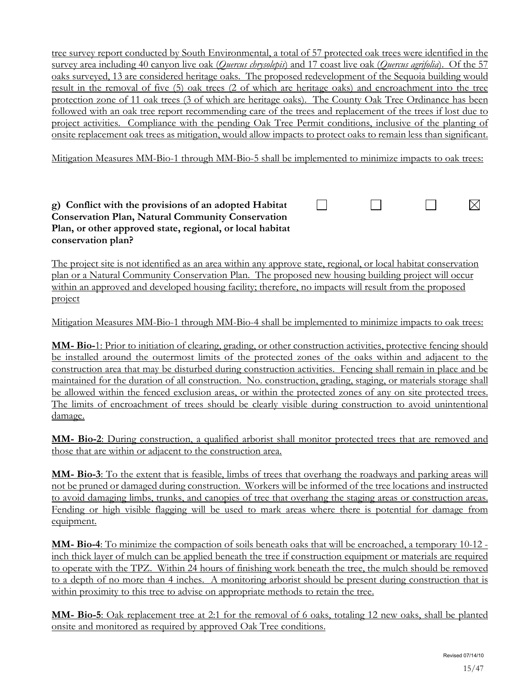tree survey report conducted by South Environmental, a total of 57 protected oak trees were identified in the survey area including 40 canyon live oak (*Quercus chrysolepis*) and 17 coast live oak (*Quercus agrifolia*). Of the 57 oaks surveyed, 13 are considered heritage oaks. The proposed redevelopment of the Sequoia building would result in the removal of five (5) oak trees (2 of which are heritage oaks) and encroachment into the tree protection zone of 11 oak trees (3 of which are heritage oaks). The County Oak Tree Ordinance has been followed with an oak tree report recommending care of the trees and replacement of the trees if lost due to project activities. Compliance with the pending Oak Tree Permit conditions, inclusive of the planting of onsite replacement oak trees as mitigation, would allow impacts to protect oaks to remain less than significant.

Mitigation Measures MM-Bio-1 through MM-Bio-5 shall be implemented to minimize impacts to oak trees:

 $\Box$ 

П

П

 $\boxtimes$ 

#### **g) Conflict with the provisions of an adopted Habitat Conservation Plan, Natural Community Conservation Plan, or other approved state, regional, or local habitat conservation plan?**

The project site is not identified as an area within any approve state, regional, or local habitat conservation plan or a Natural Community Conservation Plan. The proposed new housing building project will occur within an approved and developed housing facility; therefore, no impacts will result from the proposed project

Mitigation Measures MM-Bio-1 through MM-Bio-4 shall be implemented to minimize impacts to oak trees:

**MM- Bio-**1: Prior to initiation of clearing, grading, or other construction activities, protective fencing should be installed around the outermost limits of the protected zones of the oaks within and adjacent to the construction area that may be disturbed during construction activities. Fencing shall remain in place and be maintained for the duration of all construction. No. construction, grading, staging, or materials storage shall be allowed within the fenced exclusion areas, or within the protected zones of any on site protected trees. The limits of encroachment of trees should be clearly visible during construction to avoid unintentional damage.

**MM- Bio-2**: During construction, a qualified arborist shall monitor protected trees that are removed and those that are within or adjacent to the construction area.

**MM- Bio-3**: To the extent that is feasible, limbs of trees that overhang the roadways and parking areas will not be pruned or damaged during construction. Workers will be informed of the tree locations and instructed to avoid damaging limbs, trunks, and canopies of tree that overhang the staging areas or construction areas. Fending or high visible flagging will be used to mark areas where there is potential for damage from equipment.

**MM- Bio-4**: To minimize the compaction of soils beneath oaks that will be encroached, a temporary 10-12 inch thick layer of mulch can be applied beneath the tree if construction equipment or materials are required to operate with the TPZ. Within 24 hours of finishing work beneath the tree, the mulch should be removed to a depth of no more than 4 inches. A monitoring arborist should be present during construction that is within proximity to this tree to advise on appropriate methods to retain the tree.

**MM- Bio-5**: Oak replacement tree at 2:1 for the removal of 6 oaks, totaling 12 new oaks, shall be planted onsite and monitored as required by approved Oak Tree conditions.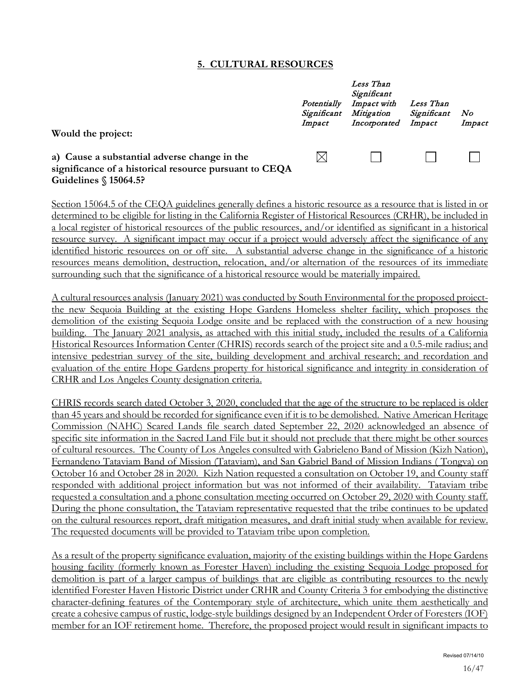#### **5. CULTURAL RESOURCES**

|                                                                                                                                                         | Potentially<br>Significant<br>Impact | Less Than<br>Significant<br>Impact with<br>Mitigation<br>Incorporated | Less Than<br>Significant<br>Impact | N o<br>Impact |
|---------------------------------------------------------------------------------------------------------------------------------------------------------|--------------------------------------|-----------------------------------------------------------------------|------------------------------------|---------------|
| Would the project:<br>a) Cause a substantial adverse change in the<br>significance of a historical resource pursuant to CEQA<br>Guidelines $$15064.5$ ? | $\boxtimes$                          |                                                                       |                                    |               |

Section 15064.5 of the CEQA guidelines generally defines a historic resource as a resource that is listed in or determined to be eligible for listing in the California Register of Historical Resources (CRHR), be included in a local register of historical resources of the public resources, and/or identified as significant in a historical resource survey. A significant impact may occur if a project would adversely affect the significance of any identified historic resources on or off site. A substantial adverse change in the significance of a historic resources means demolition, destruction, relocation, and/or alternation of the resources of its immediate surrounding such that the significance of a historical resource would be materially impaired.

A cultural resources analysis (January 2021) was conducted by South Environmental for the proposed projectthe new Sequoia Building at the existing Hope Gardens Homeless shelter facility, which proposes the demolition of the existing Sequoia Lodge onsite and be replaced with the construction of a new housing building. The January 2021 analysis, as attached with this initial study, included the results of a California Historical Resources Information Center (CHRIS) records search of the project site and a 0.5-mile radius; and intensive pedestrian survey of the site, building development and archival research; and recordation and evaluation of the entire Hope Gardens property for historical significance and integrity in consideration of CRHR and Los Angeles County designation criteria.

CHRIS records search dated October 3, 2020, concluded that the age of the structure to be replaced is older than 45 years and should be recorded for significance even if it is to be demolished. Native American Heritage Commission (NAHC) Scared Lands file search dated September 22, 2020 acknowledged an absence of specific site information in the Sacred Land File but it should not preclude that there might be other sources of cultural resources. The County of Los Angeles consulted with Gabrieleno Band of Mission (Kizh Nation), Fernandeno Tataviam Band of Mission (Tataviam), and San Gabriel Band of Mission Indians ( Tongva) on October 16 and October 28 in 2020. Kizh Nation requested a consultation on October 19, and County staff responded with additional project information but was not informed of their availability. Tataviam tribe requested a consultation and a phone consultation meeting occurred on October 29, 2020 with County staff. During the phone consultation, the Tataviam representative requested that the tribe continues to be updated on the cultural resources report, draft mitigation measures, and draft initial study when available for review. The requested documents will be provided to Tataviam tribe upon completion.

As a result of the property significance evaluation, majority of the existing buildings within the Hope Gardens housing facility (formerly known as Forester Haven) including the existing Sequoia Lodge proposed for demolition is part of a larger campus of buildings that are eligible as contributing resources to the newly identified Forester Haven Historic District under CRHR and County Criteria 3 for embodying the distinctive character-defining features of the Contemporary style of architecture, which unite them aesthetically and create a cohesive campus of rustic, lodge-style buildings designed by an Independent Order of Foresters (IOF) member for an IOF retirement home. Therefore, the proposed project would result in significant impacts to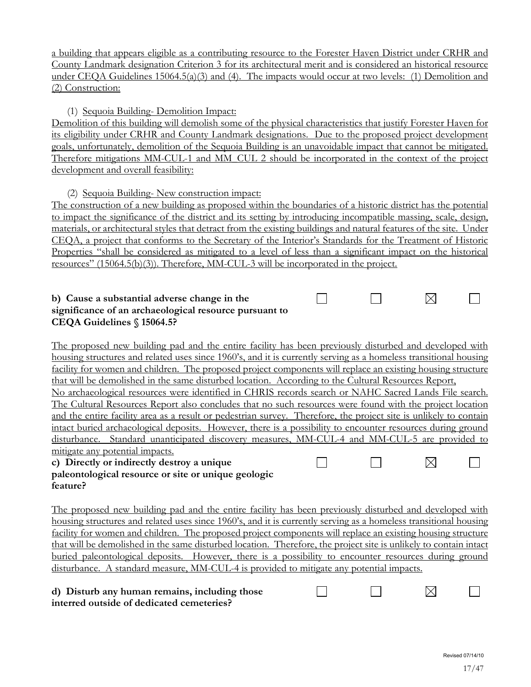a building that appears eligible as a contributing resource to the Forester Haven District under CRHR and County Landmark designation Criterion 3 for its architectural merit and is considered an historical resource under CEQA Guidelines 15064.5(a)(3) and (4). The impacts would occur at two levels: (1) Demolition and (2) Construction:

(1) Sequoia Building- Demolition Impact:

Demolition of this building will demolish some of the physical characteristics that justify Forester Haven for its eligibility under CRHR and County Landmark designations. Due to the proposed project development goals, unfortunately, demolition of the Sequoia Building is an unavoidable impact that cannot be mitigated. Therefore mitigations MM-CUL-1 and MM\_CUL 2 should be incorporated in the context of the project development and overall feasibility:

(2) Sequoia Building- New construction impact:

The construction of a new building as proposed within the boundaries of a historic district has the potential to impact the significance of the district and its setting by introducing incompatible massing, scale, design, materials, or architectural styles that detract from the existing buildings and natural features of the site. Under CEQA, a project that conforms to the Secretary of the Interior's Standards for the Treatment of Historic Properties "shall be considered as mitigated to a level of less than a significant impact on the historical resources" (15064.5(b)(3)). Therefore, MM-CUL-3 will be incorporated in the project.

 $\Box$ 

 $\Box$ 

#### **b) Cause a substantial adverse change in the significance of an archaeological resource pursuant to CEQA Guidelines § 15064.5?**

The proposed new building pad and the entire facility has been previously disturbed and developed with housing structures and related uses since 1960's, and it is currently serving as a homeless transitional housing facility for women and children. The proposed project components will replace an existing housing structure that will be demolished in the same disturbed location. According to the Cultural Resources Report, No archaeological resources were identified in CHRIS records search or NAHC Sacred Lands File search. The Cultural Resources Report also concludes that no such resources were found with the project location and the entire facility area as a result or pedestrian survey. Therefore, the project site is unlikely to contain intact buried archaeological deposits. However, there is a possibility to encounter resources during ground disturbance. Standard unanticipated discovery measures, MM-CUL-4 and MM-CUL-5 are provided to mitigate any potential impacts.  $\boxtimes$ П П  $\Box$ 

#### **c) Directly or indirectly destroy a unique paleontological resource or site or unique geologic feature?**

The proposed new building pad and the entire facility has been previously disturbed and developed with housing structures and related uses since 1960's, and it is currently serving as a homeless transitional housing facility for women and children. The proposed project components will replace an existing housing structure that will be demolished in the same disturbed location. Therefore, the project site is unlikely to contain intact buried paleontological deposits. However, there is a possibility to encounter resources during ground disturbance. A standard measure, MM-CUL-4 is provided to mitigate any potential impacts.

| d) Disturb any human remains, including those |  |  |
|-----------------------------------------------|--|--|
| interred outside of dedicated cemeteries?     |  |  |

⊠

 $\vert \ \ \vert$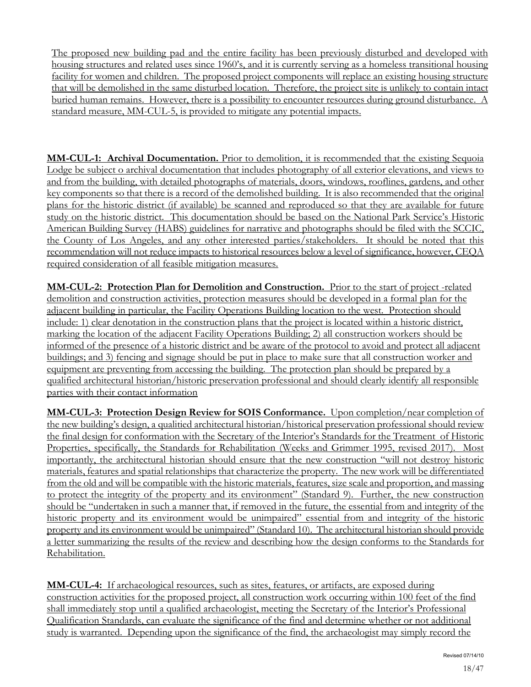The proposed new building pad and the entire facility has been previously disturbed and developed with housing structures and related uses since 1960's, and it is currently serving as a homeless transitional housing facility for women and children. The proposed project components will replace an existing housing structure that will be demolished in the same disturbed location. Therefore, the project site is unlikely to contain intact buried human remains. However, there is a possibility to encounter resources during ground disturbance. A standard measure, MM-CUL-5, is provided to mitigate any potential impacts.

**MM-CUL-1: Archival Documentation.** Prior to demolition, it is recommended that the existing Sequoia Lodge be subject o archival documentation that includes photography of all exterior elevations, and views to and from the building, with detailed photographs of materials, doors, windows, rooflines, gardens, and other key components so that there is a record of the demolished building. It is also recommended that the original plans for the historic district (if available) be scanned and reproduced so that they are available for future study on the historic district. This documentation should be based on the National Park Service's Historic American Building Survey (HABS) guidelines for narrative and photographs should be filed with the SCCIC, the County of Los Angeles, and any other interested parties/stakeholders. It should be noted that this recommendation will not reduce impacts to historical resources below a level of significance, however, CEQA required consideration of all feasible mitigation measures.

**MM-CUL-2: Protection Plan for Demolition and Construction.** Prior to the start of project -related demolition and construction activities, protection measures should be developed in a formal plan for the adjacent building in particular, the Facility Operations Building location to the west. Protection should include: 1) clear denotation in the construction plans that the project is located within a historic district, marking the location of the adjacent Facility Operations Building; 2) all construction workers should be informed of the presence of a historic district and be aware of the protocol to avoid and protect all adjacent buildings; and 3) fencing and signage should be put in place to make sure that all construction worker and equipment are preventing from accessing the building. The protection plan should be prepared by a qualified architectural historian/historic preservation professional and should clearly identify all responsible parties with their contact information

**MM-CUL-3: Protection Design Review for SOIS Conformance.** Upon completion/near completion of the new building's design, a qualitied architectural historian/historical preservation professional should review the final design for conformation with the Secretary of the Interior's Standards for the Treatment of Historic Properties, specifically, the Standards for Rehabilitation (Weeks and Grimmer 1995, revised 2017). Most importantly, the architectural historian should ensure that the new construction "will not destroy historic materials, features and spatial relationships that characterize the property. The new work will be differentiated from the old and will be compatible with the historic materials, features, size scale and proportion, and massing to protect the integrity of the property and its environment" (Standard 9). Further, the new construction should be "undertaken in such a manner that, if removed in the future, the essential from and integrity of the historic property and its environment would be unimpaired" essential from and integrity of the historic property and its environment would be unimpaired" (Standard 10). The architectural historian should provide a letter summarizing the results of the review and describing how the design conforms to the Standards for Rehabilitation.

**MM-CUL-4:** If archaeological resources, such as sites, features, or artifacts, are exposed during construction activities for the proposed project, all construction work occurring within 100 feet of the find shall immediately stop until a qualified archaeologist, meeting the Secretary of the Interior's Professional Qualification Standards, can evaluate the significance of the find and determine whether or not additional study is warranted. Depending upon the significance of the find, the archaeologist may simply record the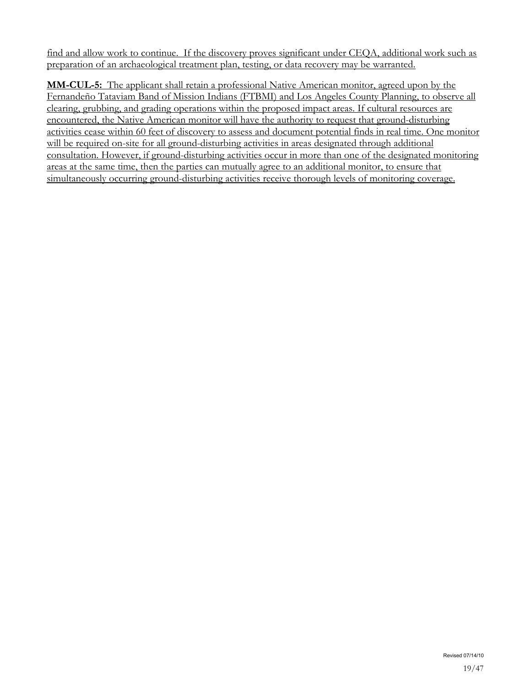find and allow work to continue. If the discovery proves significant under CEQA, additional work such as preparation of an archaeological treatment plan, testing, or data recovery may be warranted.

**MM-CUL-5:** The applicant shall retain a professional Native American monitor, agreed upon by the Fernandeño Tataviam Band of Mission Indians (FTBMI) and Los Angeles County Planning, to observe all clearing, grubbing, and grading operations within the proposed impact areas. If cultural resources are encountered, the Native American monitor will have the authority to request that ground-disturbing activities cease within 60 feet of discovery to assess and document potential finds in real time. One monitor will be required on-site for all ground-disturbing activities in areas designated through additional consultation. However, if ground-disturbing activities occur in more than one of the designated monitoring areas at the same time, then the parties can mutually agree to an additional monitor, to ensure that simultaneously occurring ground-disturbing activities receive thorough levels of monitoring coverage.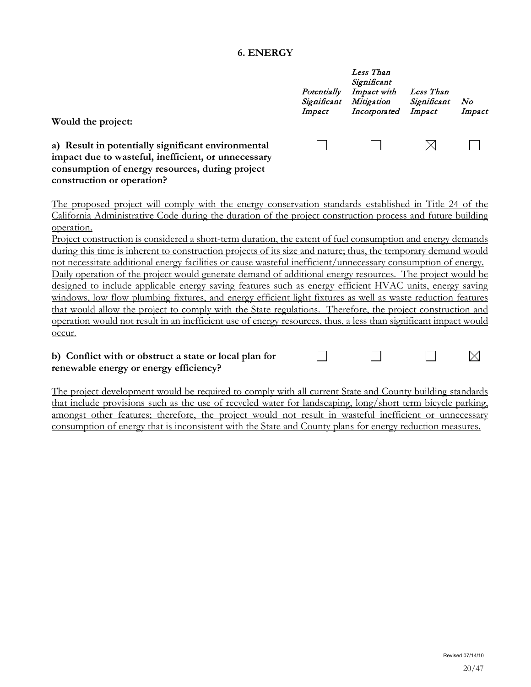#### **6. ENERGY**

| Would the project:                                                                                                                                                                         | Potentially<br>Significant<br>Impact | Less Than<br>Significant<br>Impact with<br>Mitigation<br>Incorporated | Less Than<br>Significant<br>Impact | N o<br>Impact |
|--------------------------------------------------------------------------------------------------------------------------------------------------------------------------------------------|--------------------------------------|-----------------------------------------------------------------------|------------------------------------|---------------|
| a) Result in potentially significant environmental<br>impact due to wasteful, inefficient, or unnecessary<br>consumption of energy resources, during project<br>construction or operation? |                                      |                                                                       |                                    |               |

The proposed project will comply with the energy conservation standards established in Title 24 of the California Administrative Code during the duration of the project construction process and future building operation.

Project construction is considered a short-term duration, the extent of fuel consumption and energy demands during this time is inherent to construction projects of its size and nature; thus, the temporary demand would not necessitate additional energy facilities or cause wasteful inefficient/unnecessary consumption of energy. Daily operation of the project would generate demand of additional energy resources. The project would be designed to include applicable energy saving features such as energy efficient HVAC units, energy saving windows, low flow plumbing fixtures, and energy efficient light fixtures as well as waste reduction features that would allow the project to comply with the State regulations. Therefore, the project construction and operation would not result in an inefficient use of energy resources, thus, a less than significant impact would occur.

#### $\Box$ **b) Conflict with or obstruct a state or local plan for**   $\Box$ **renewable energy or energy efficiency?**

The project development would be required to comply with all current State and County building standards that include provisions such as the use of recycled water for landscaping, long/short term bicycle parking, amongst other features; therefore, the project would not result in wasteful inefficient or unnecessary consumption of energy that is inconsistent with the State and County plans for energy reduction measures.

 $\Box$ 

 $\boxtimes$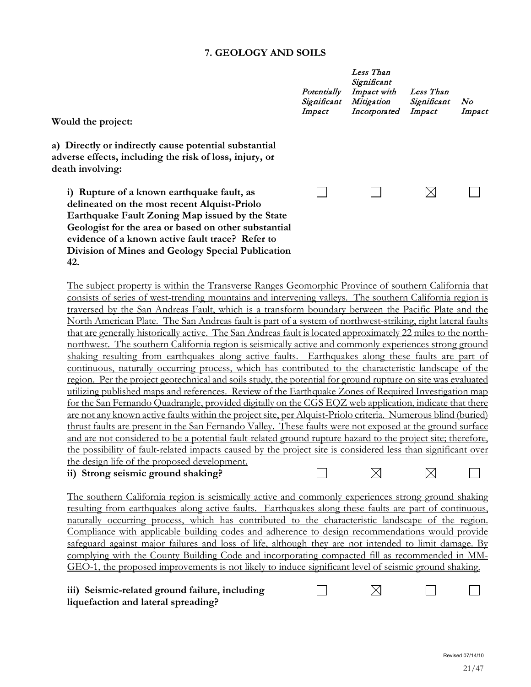# **7. GEOLOGY AND SOILS**

| Would the project:                                                                                                                                                                                                                                                                                                                                                                                                                                                                                                                                                                                                                                                                                                                                                                                                                                                                                                                                                                                                                                                                                                                                                                                                                                                                                                                                                                                                                                                                                                                                                                                                                                                                 | Potentially<br>Significant<br>Impact | Less Than<br>Significant<br>Impact with<br>Mitigation<br>Incorporated | Less Than<br>Significant<br>Impact | N o<br>Impact |
|------------------------------------------------------------------------------------------------------------------------------------------------------------------------------------------------------------------------------------------------------------------------------------------------------------------------------------------------------------------------------------------------------------------------------------------------------------------------------------------------------------------------------------------------------------------------------------------------------------------------------------------------------------------------------------------------------------------------------------------------------------------------------------------------------------------------------------------------------------------------------------------------------------------------------------------------------------------------------------------------------------------------------------------------------------------------------------------------------------------------------------------------------------------------------------------------------------------------------------------------------------------------------------------------------------------------------------------------------------------------------------------------------------------------------------------------------------------------------------------------------------------------------------------------------------------------------------------------------------------------------------------------------------------------------------|--------------------------------------|-----------------------------------------------------------------------|------------------------------------|---------------|
| a) Directly or indirectly cause potential substantial<br>adverse effects, including the risk of loss, injury, or<br>death involving:                                                                                                                                                                                                                                                                                                                                                                                                                                                                                                                                                                                                                                                                                                                                                                                                                                                                                                                                                                                                                                                                                                                                                                                                                                                                                                                                                                                                                                                                                                                                               |                                      |                                                                       |                                    |               |
| i) Rupture of a known earthquake fault, as<br>delineated on the most recent Alquist-Priolo<br>Earthquake Fault Zoning Map issued by the State<br>Geologist for the area or based on other substantial<br>evidence of a known active fault trace? Refer to<br>Division of Mines and Geology Special Publication<br>42.                                                                                                                                                                                                                                                                                                                                                                                                                                                                                                                                                                                                                                                                                                                                                                                                                                                                                                                                                                                                                                                                                                                                                                                                                                                                                                                                                              |                                      |                                                                       | $\boxtimes$                        |               |
| The subject property is within the Transverse Ranges Geomorphic Province of southern California that<br>consists of series of west-trending mountains and intervening valleys. The southern California region is<br>traversed by the San Andreas Fault, which is a transform boundary between the Pacific Plate and the<br>North American Plate. The San Andreas fault is part of a system of northwest-striking, right lateral faults<br>that are generally historically active. The San Andreas fault is located approximately 22 miles to the north-<br>northwest. The southern California region is seismically active and commonly experiences strong ground<br>shaking resulting from earthquakes along active faults. Earthquakes along these faults are part of<br>continuous, naturally occurring process, which has contributed to the characteristic landscape of the<br>region. Per the project geotechnical and soils study, the potential for ground rupture on site was evaluated<br>utilizing published maps and references. Review of the Earthquake Zones of Required Investigation map<br>for the San Fernando Quadrangle, provided digitally on the CGS EQZ web application, indicate that there<br>are not any known active faults within the project site, per Alquist-Priolo criteria. Numerous blind (buried)<br>thrust faults are present in the San Fernando Valley. These faults were not exposed at the ground surface<br>and are not considered to be a potential fault-related ground rupture hazard to the project site; therefore,<br>the possibility of fault-related impacts caused by the project site is considered less than significant over |                                      |                                                                       |                                    |               |
| the design life of the proposed development.<br>ii) Strong seismic ground shaking?                                                                                                                                                                                                                                                                                                                                                                                                                                                                                                                                                                                                                                                                                                                                                                                                                                                                                                                                                                                                                                                                                                                                                                                                                                                                                                                                                                                                                                                                                                                                                                                                 |                                      |                                                                       |                                    |               |
| The southern California region is seismically active and commonly experiences strong ground shaking<br>resulting from earthquakes along active faults. Earthquakes along these faults are part of continuous,<br>naturally occurring process, which has contributed to the characteristic landscape of the region.<br>Compliance with applicable building codes and adherence to design recommendations would provide<br>safeguard against major failures and loss of life, although they are not intended to limit damage. By<br>complying with the County Building Code and incorporating compacted fill as recommended in MM-<br>GEO-1, the proposed improvements is not likely to induce significant level of seismic ground shaking.<br>iii) Seismic-related ground failure, including<br>liquefaction and lateral spreading?                                                                                                                                                                                                                                                                                                                                                                                                                                                                                                                                                                                                                                                                                                                                                                                                                                                 |                                      | $\times$                                                              |                                    |               |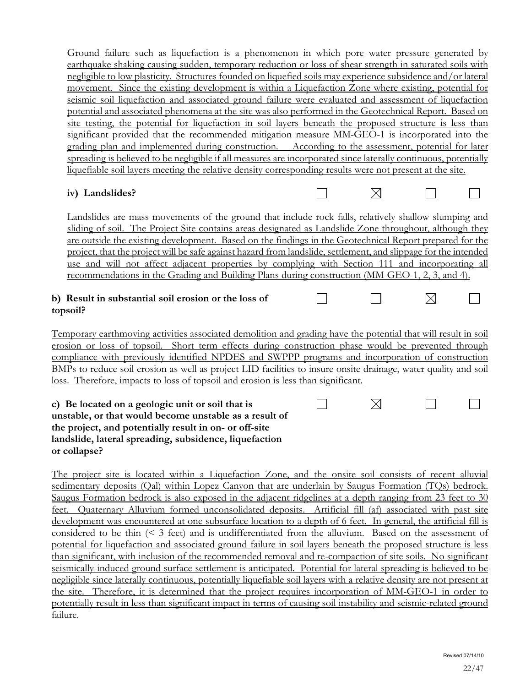Ground failure such as liquefaction is a phenomenon in which pore water pressure generated by earthquake shaking causing sudden, temporary reduction or loss of shear strength in saturated soils with negligible to low plasticity. Structures founded on liquefied soils may experience subsidence and/or lateral movement. Since the existing development is within a Liquefaction Zone where existing, potential for seismic soil liquefaction and associated ground failure were evaluated and assessment of liquefaction potential and associated phenomena at the site was also performed in the Geotechnical Report. Based on site testing, the potential for liquefaction in soil layers beneath the proposed structure is less than significant provided that the recommended mitigation measure MM-GEO-1 is incorporated into the grading plan and implemented during construction. According to the assessment, potential for later spreading is believed to be negligible if all measures are incorporated since laterally continuous, potentially liquefiable soil layers meeting the relative density corresponding results were not present at the site.

# **iv) Landslides?**

П

 $\Box$ 

 $\boxtimes$ 

Landslides are mass movements of the ground that include rock falls, relatively shallow slumping and sliding of soil. The Project Site contains areas designated as Landslide Zone throughout, although they are outside the existing development. Based on the findings in the Geotechnical Report prepared for the project, that the project will be safe against hazard from landslide, settlement, and slippage for the intended use and will not affect adjacent properties by complying with Section 111 and incorporating all recommendations in the Grading and Building Plans during construction (MM-GEO-1, 2, 3, and 4).

## **b) Result in substantial soil erosion or the loss of topsoil?**

Temporary earthmoving activities associated demolition and grading have the potential that will result in soil erosion or loss of topsoil. Short term effects during construction phase would be prevented through compliance with previously identified NPDES and SWPPP programs and incorporation of construction BMPs to reduce soil erosion as well as project LID facilities to insure onsite drainage, water quality and soil loss. Therefore, impacts to loss of topsoil and erosion is less than significant.

**c) Be located on a geologic unit or soil that is**  П  $\boxtimes$ **unstable, or that would become unstable as a result of the project, and potentially result in on- or off-site landslide, lateral spreading, subsidence, liquefaction or collapse?** 

The project site is located within a Liquefaction Zone, and the onsite soil consists of recent alluvial sedimentary deposits (Qal) within Lopez Canyon that are underlain by Saugus Formation (TQs) bedrock. Saugus Formation bedrock is also exposed in the adjacent ridgelines at a depth ranging from 23 feet to 30 feet. Quaternary Alluvium formed unconsolidated deposits. Artificial fill (af) associated with past site development was encountered at one subsurface location to a depth of 6 feet. In general, the artificial fill is considered to be thin (< 3 feet) and is undifferentiated from the alluvium. Based on the assessment of potential for liquefaction and associated ground failure in soil layers beneath the proposed structure is less than significant, with inclusion of the recommended removal and re-compaction of site soils. No significant seismically-induced ground surface settlement is anticipated. Potential for lateral spreading is believed to be negligible since laterally continuous, potentially liquefiable soil layers with a relative density are not present at the site. Therefore, it is determined that the project requires incorporation of MM-GEO-1 in order to potentially result in less than significant impact in terms of causing soil instability and seismic-related ground failure.

 $\overline{\phantom{0}}$ 

 $\boxtimes$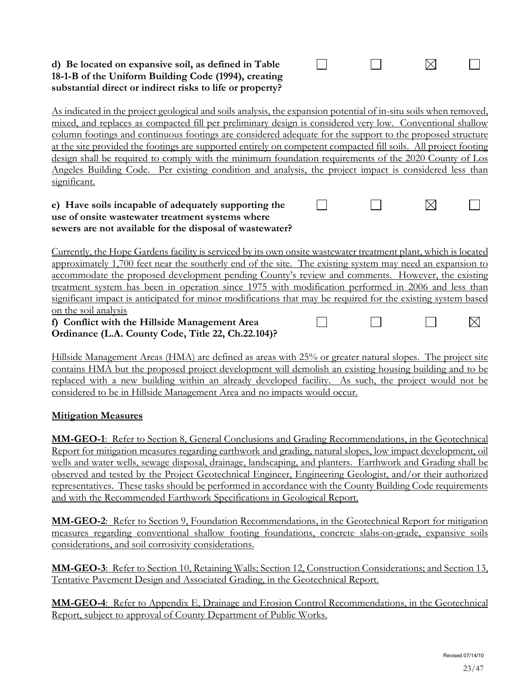### **d) Be located on expansive soil, as defined in Table 18-1-B of the Uniform Building Code (1994), creating substantial direct or indirect risks to life or property?**

As indicated in the project geological and soils analysis, the expansion potential of in-situ soils when removed, mixed, and replaces as compacted fill per preliminary design is considered very low. Conventional shallow column footings and continuous footings are considered adequate for the support to the proposed structure at the site provided the footings are supported entirely on competent compacted fill soils. All project footing design shall be required to comply with the minimum foundation requirements of the 2020 County of Los Angeles Building Code. Per existing condition and analysis, the project impact is considered less than significant.

 $\Box$ 

 $\Box$ 

 $\Box$ 

П

 $\boxtimes$ 

⊠

 $\Box$ 

┓

#### **e) Have soils incapable of adequately supporting the use of onsite wastewater treatment systems where sewers are not available for the disposal of wastewater?**

Currently, the Hope Gardens facility is serviced by its own onsite wastewater treatment plant, which is located approximately 1,700 feet near the southerly end of the site. The existing system may need an expansion to accommodate the proposed development pending County's review and comments. However, the existing treatment system has been in operation since 1975 with modification performed in 2006 and less than significant impact is anticipated for minor modifications that may be required for the existing system based on the soil analysis  $\boxtimes$  $\mathsf{L}$ 

**f) Conflict with the Hillside Management Area Ordinance (L.A. County Code, Title 22, Ch.22.104)?** 

Hillside Management Areas (HMA) are defined as areas with 25% or greater natural slopes. The project site contains HMA but the proposed project development will demolish an existing housing building and to be replaced with a new building within an already developed facility. As such, the project would not be considered to be in Hillside Management Area and no impacts would occur.

# **Mitigation Measures**

**MM-GEO-1**: Refer to Section 8, General Conclusions and Grading Recommendations, in the Geotechnical Report for mitigation measures regarding earthwork and grading, natural slopes, low impact development, oil wells and water wells, sewage disposal, drainage, landscaping, and planters. Earthwork and Grading shall be observed and tested by the Project Geotechnical Engineer, Engineering Geologist, and/or their authorized representatives. These tasks should be performed in accordance with the County Building Code requirements and with the Recommended Earthwork Specifications in Geological Report.

**MM-GEO-2**: Refer to Section 9, Foundation Recommendations, in the Geotechnical Report for mitigation measures regarding conventional shallow footing foundations, concrete slabs-on-grade, expansive soils considerations, and soil corrosivity considerations.

**MM-GEO-3**: Refer to Section 10, Retaining Walls; Section 12, Construction Considerations; and Section 13, Tentative Pavement Design and Associated Grading, in the Geotechnical Report.

**MM-GEO-4**: Refer to Appendix E, Drainage and Erosion Control Recommendations, in the Geotechnical Report, subject to approval of County Department of Public Works.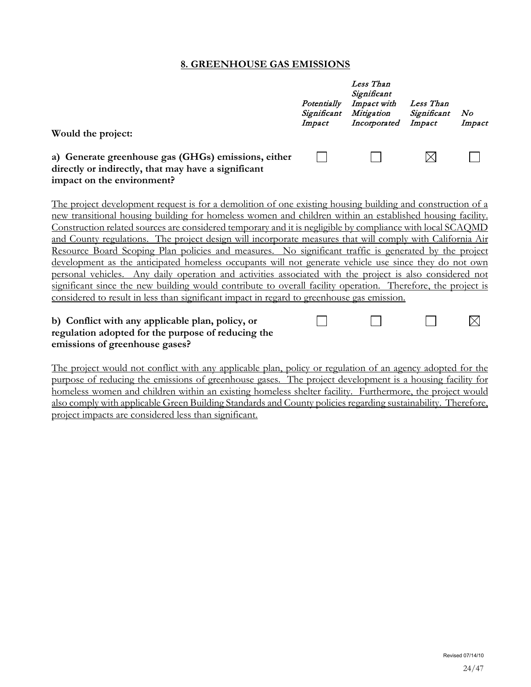#### **8. GREENHOUSE GAS EMISSIONS**

|                                                                                                                                                                                                                                                                                                                                                                                                                                                                                                                                                                                                                                                                                                                                                                                                                                                                                                                                                                                                | Potentially<br>Significant<br>Impact | Less Than<br>Significant<br>Impact with<br>Mitigation<br>Incorporated | Less Than<br>Significant<br>Impact | No<br>Impact |
|------------------------------------------------------------------------------------------------------------------------------------------------------------------------------------------------------------------------------------------------------------------------------------------------------------------------------------------------------------------------------------------------------------------------------------------------------------------------------------------------------------------------------------------------------------------------------------------------------------------------------------------------------------------------------------------------------------------------------------------------------------------------------------------------------------------------------------------------------------------------------------------------------------------------------------------------------------------------------------------------|--------------------------------------|-----------------------------------------------------------------------|------------------------------------|--------------|
| Would the project:                                                                                                                                                                                                                                                                                                                                                                                                                                                                                                                                                                                                                                                                                                                                                                                                                                                                                                                                                                             |                                      |                                                                       |                                    |              |
| a) Generate greenhouse gas (GHGs) emissions, either<br>directly or indirectly, that may have a significant<br>impact on the environment?                                                                                                                                                                                                                                                                                                                                                                                                                                                                                                                                                                                                                                                                                                                                                                                                                                                       |                                      |                                                                       |                                    |              |
| The project development request is for a demolition of one existing housing building and construction of a<br>new transitional housing building for homeless women and children within an established housing facility.<br>Construction related sources are considered temporary and it is negligible by compliance with local SCAQMD<br>and County regulations. The project design will incorporate measures that will comply with California Air<br>Resource Board Scoping Plan policies and measures. No significant traffic is generated by the project<br>development as the anticipated homeless occupants will not generate vehicle use since they do not own<br>personal vehicles. Any daily operation and activities associated with the project is also considered not<br>significant since the new building would contribute to overall facility operation. Therefore, the project is<br>considered to result in less than significant impact in regard to greenhouse gas emission. |                                      |                                                                       |                                    |              |
| b) Conflict with any applicable plan, policy, or                                                                                                                                                                                                                                                                                                                                                                                                                                                                                                                                                                                                                                                                                                                                                                                                                                                                                                                                               |                                      |                                                                       |                                    |              |

### **b) Conflict with any applicable plan, policy, or regulation adopted for the purpose of reducing the emissions of greenhouse gases?**

The project would not conflict with any applicable plan, policy or regulation of an agency adopted for the purpose of reducing the emissions of greenhouse gases. The project development is a housing facility for homeless women and children within an existing homeless shelter facility. Furthermore, the project would also comply with applicable Green Building Standards and County policies regarding sustainability. Therefore, project impacts are considered less than significant.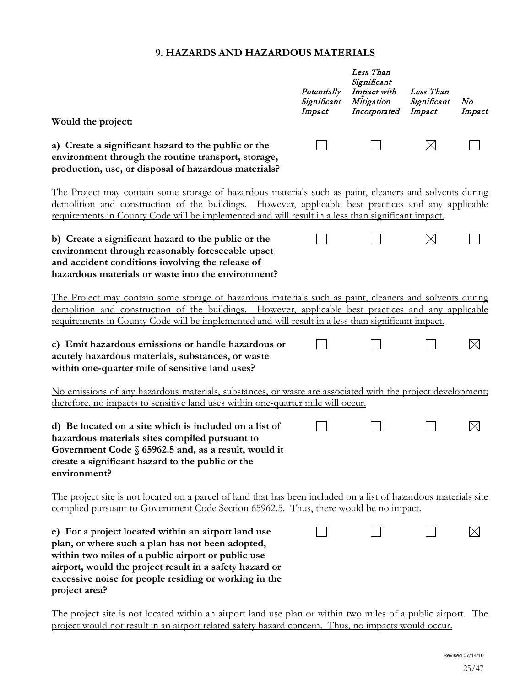# **9. HAZARDS AND HAZARDOUS MATERIALS**

|                                                                                                                                                                                                                                                                                                                      | Potentially<br>Significant<br>Impact | Less Than<br>Significant<br>Impact with<br>Mitigation<br>Incorporated | Less Than<br>Significant<br>Impact | N o<br>Impact |
|----------------------------------------------------------------------------------------------------------------------------------------------------------------------------------------------------------------------------------------------------------------------------------------------------------------------|--------------------------------------|-----------------------------------------------------------------------|------------------------------------|---------------|
| Would the project:                                                                                                                                                                                                                                                                                                   |                                      |                                                                       |                                    |               |
| a) Create a significant hazard to the public or the<br>environment through the routine transport, storage,<br>production, use, or disposal of hazardous materials?                                                                                                                                                   |                                      |                                                                       | $\times$                           |               |
| The Project may contain some storage of hazardous materials such as paint, cleaners and solvents during<br>demolition and construction of the buildings. However, applicable best practices and any applicable<br>requirements in County Code will be implemented and will result in a less than significant impact. |                                      |                                                                       |                                    |               |
| b) Create a significant hazard to the public or the<br>environment through reasonably foreseeable upset<br>and accident conditions involving the release of<br>hazardous materials or waste into the environment?                                                                                                    |                                      |                                                                       | $\times$                           |               |
| The Project may contain some storage of hazardous materials such as paint, cleaners and solvents during<br>demolition and construction of the buildings. However, applicable best practices and any applicable<br>requirements in County Code will be implemented and will result in a less than significant impact. |                                      |                                                                       |                                    |               |
| c) Emit hazardous emissions or handle hazardous or<br>acutely hazardous materials, substances, or waste<br>within one-quarter mile of sensitive land uses?                                                                                                                                                           |                                      |                                                                       |                                    | $\boxtimes$   |
| No emissions of any hazardous materials, substances, or waste are associated with the project development;<br>therefore, no impacts to sensitive land uses within one-quarter mile will occur.                                                                                                                       |                                      |                                                                       |                                    |               |
| d) Be located on a site which is included on a list of<br>hazardous materials sites compiled pursuant to<br>Government Code $\S$ 65962.5 and, as a result, would it<br>create a significant hazard to the public or the<br>environment?                                                                              |                                      |                                                                       |                                    | $\times$      |
| The project site is not located on a parcel of land that has been included on a list of hazardous materials site<br>complied pursuant to Government Code Section 65962.5. Thus, there would be no impact.                                                                                                            |                                      |                                                                       |                                    |               |
| e) For a project located within an airport land use<br>plan, or where such a plan has not been adopted,<br>within two miles of a public airport or public use<br>airport, would the project result in a safety hazard or<br>excessive noise for people residing or working in the<br>project area?                   |                                      |                                                                       |                                    | $\boxtimes$   |
| The project site is not located within an airport land use plan or within two miles of a public airport. The                                                                                                                                                                                                         |                                      |                                                                       |                                    |               |

project would not result in an airport related safety hazard concern. Thus, no impacts would occur.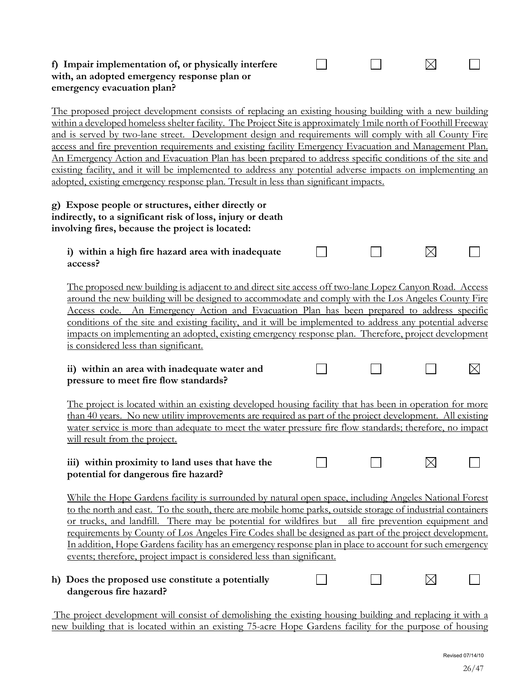### **f) Impair implementation of, or physically interfere with, an adopted emergency response plan or emergency evacuation plan?**

The proposed project development consists of replacing an existing housing building with a new building within a developed homeless shelter facility. The Project Site is approximately 1mile north of Foothill Freeway and is served by two-lane street. Development design and requirements will comply with all County Fire access and fire prevention requirements and existing facility Emergency Evacuation and Management Plan. An Emergency Action and Evacuation Plan has been prepared to address specific conditions of the site and existing facility, and it will be implemented to address any potential adverse impacts on implementing an adopted, existing emergency response plan. Tresult in less than significant impacts.

 $\perp$ 

 $\perp$ 

 $\Box$ 

⊠

 $\bowtie$ 

#### **g) Expose people or structures, either directly or indirectly, to a significant risk of loss, injury or death involving fires, because the project is located:**

| i) within a high fire hazard area with inadequate |  |  |
|---------------------------------------------------|--|--|
| access?                                           |  |  |

The proposed new building is adjacent to and direct site access off two-lane Lopez Canyon Road. Access around the new building will be designed to accommodate and comply with the Los Angeles County Fire Access code. An Emergency Action and Evacuation Plan has been prepared to address specific conditions of the site and existing facility, and it will be implemented to address any potential adverse impacts on implementing an adopted, existing emergency response plan. Therefore, project development is considered less than significant.

#### **ii) within an area with inadequate water and pressure to meet fire flow standards?**

The project is located within an existing developed housing facility that has been in operation for more than 40 years. No new utility improvements are required as part of the project development. All existing water service is more than adequate to meet the water pressure fire flow standards; therefore, no impact will result from the project.

#### **iii) within proximity to land uses that have the**  П **potential for dangerous fire hazard?**

While the Hope Gardens facility is surrounded by natural open space, including Angeles National Forest to the north and east. To the south, there are mobile home parks, outside storage of industrial containers or trucks, and landfill. There may be potential for wildfires but all fire prevention equipment and requirements by County of Los Angeles Fire Codes shall be designed as part of the project development. In addition, Hope Gardens facility has an emergency response plan in place to account for such emergency events; therefore, project impact is considered less than significant.

#### **h) Does the proposed use constitute a potentially dangerous fire hazard?**

The project development will consist of demolishing the existing housing building and replacing it with a new building that is located within an existing 75-acre Hope Gardens facility for the purpose of housing

 $\boxtimes$ 

 $\vert \ \ \vert$ 

 $\boxtimes$ 

 $\Box$ 

 $\vert \ \ \vert$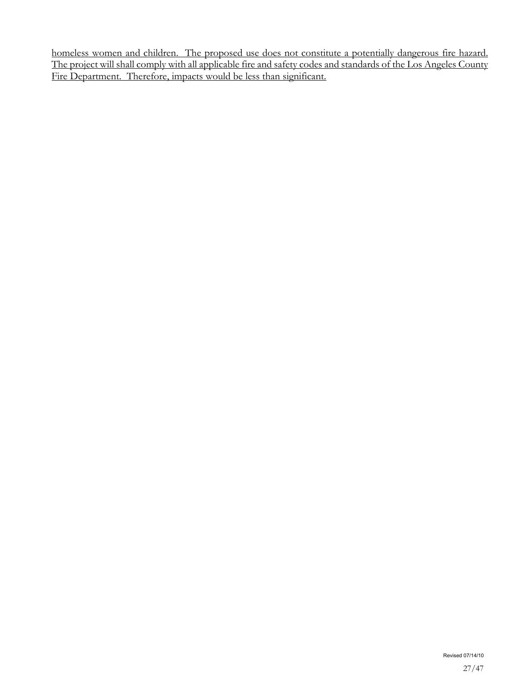homeless women and children. The proposed use does not constitute a potentially dangerous fire hazard. The project will shall comply with all applicable fire and safety codes and standards of the Los Angeles County Fire Department. Therefore, impacts would be less than significant.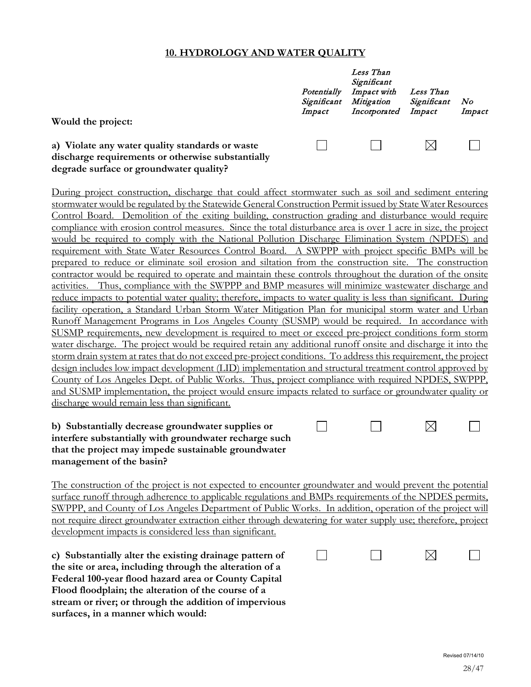#### **10. HYDROLOGY AND WATER QUALITY**

| Would the project:                                                                                   | Potentially<br>Significant<br>Impact | Less Than<br>Significant<br>Impact with<br>Mitigation<br>Incorporated | Less Than<br>Significant<br>Impact | No<br>Impact |
|------------------------------------------------------------------------------------------------------|--------------------------------------|-----------------------------------------------------------------------|------------------------------------|--------------|
| a) Violate any water quality standards or waste<br>discharge requirements or otherwise substantially |                                      |                                                                       |                                    |              |

**degrade surface or groundwater quality?**

During project construction, discharge that could affect stormwater such as soil and sediment entering stormwater would be regulated by the Statewide General Construction Permit issued by State Water Resources Control Board. Demolition of the exiting building, construction grading and disturbance would require compliance with erosion control measures. Since the total disturbance area is over 1 acre in size, the project would be required to comply with the National Pollution Discharge Elimination System (NPDES) and requirement with State Water Resources Control Board. A SWPPP with project specific BMPs will be prepared to reduce or eliminate soil erosion and siltation from the construction site. The construction contractor would be required to operate and maintain these controls throughout the duration of the onsite activities. Thus, compliance with the SWPPP and BMP measures will minimize wastewater discharge and reduce impacts to potential water quality; therefore, impacts to water quality is less than significant. During facility operation, a Standard Urban Storm Water Mitigation Plan for municipal storm water and Urban Runoff Management Programs in Los Angeles County (SUSMP) would be required. In accordance with SUSMP requirements, new development is required to meet or exceed pre-project conditions form storm water discharge. The project would be required retain any additional runoff onsite and discharge it into the storm drain system at rates that do not exceed pre-project conditions. To address this requirement, the project design includes low impact development (LID) implementation and structural treatment control approved by County of Los Angeles Dept. of Public Works. Thus, project compliance with required NPDES, SWPPP, and SUSMP implementation, the project would ensure impacts related to surface or groundwater quality or discharge would remain less than significant.

#### **b) Substantially decrease groundwater supplies or interfere substantially with groundwater recharge such that the project may impede sustainable groundwater management of the basin?**

The construction of the project is not expected to encounter groundwater and would prevent the potential surface runoff through adherence to applicable regulations and BMPs requirements of the NPDES permits, SWPPP, and County of Los Angeles Department of Public Works. In addition, operation of the project will not require direct groundwater extraction either through dewatering for water supply use; therefore, project development impacts is considered less than significant.

 $\Box$ 

**c) Substantially alter the existing drainage pattern of the site or area, including through the alteration of a Federal 100-year flood hazard area or County Capital Flood floodplain; the alteration of the course of a stream or river; or through the addition of impervious surfaces, in a manner which would:**

|--|--|--|

 $\Box$ 

 $\boxtimes$ 

 $\Box$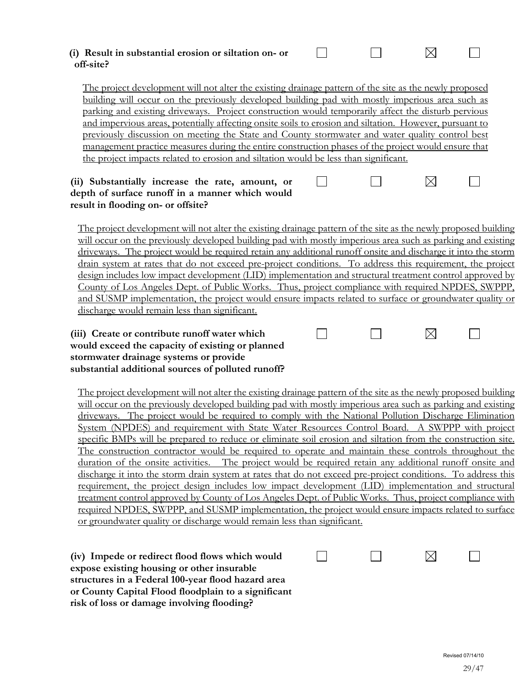#### **(i) Result in substantial erosion or siltation on- or**   $\Box$ ⊠ **off-site?**

The project development will not alter the existing drainage pattern of the site as the newly proposed building will occur on the previously developed building pad with mostly imperious area such as parking and existing driveways. Project construction would temporarily affect the disturb pervious and impervious areas, potentially affecting onsite soils to erosion and siltation. However, pursuant to previously discussion on meeting the State and County stormwater and water quality control best management practice measures during the entire construction phases of the project would ensure that the project impacts related to erosion and siltation would be less than significant.

#### **(ii) Substantially increase the rate, amount, or depth of surface runoff in a manner which would result in flooding on- or offsite?**

The project development will not alter the existing drainage pattern of the site as the newly proposed building will occur on the previously developed building pad with mostly imperious area such as parking and existing driveways. The project would be required retain any additional runoff onsite and discharge it into the storm drain system at rates that do not exceed pre-project conditions. To address this requirement, the project design includes low impact development (LID) implementation and structural treatment control approved by County of Los Angeles Dept. of Public Works. Thus, project compliance with required NPDES, SWPPP, and SUSMP implementation, the project would ensure impacts related to surface or groundwater quality or discharge would remain less than significant.

 $\Box$ 

 $\Box$ 

П

#### **(iii) Create or contribute runoff water which would exceed the capacity of existing or planned stormwater drainage systems or provide substantial additional sources of polluted runoff?**

The project development will not alter the existing drainage pattern of the site as the newly proposed building will occur on the previously developed building pad with mostly imperious area such as parking and existing driveways. The project would be required to comply with the National Pollution Discharge Elimination System (NPDES) and requirement with State Water Resources Control Board. A SWPPP with project specific BMPs will be prepared to reduce or eliminate soil erosion and siltation from the construction site. The construction contractor would be required to operate and maintain these controls throughout the duration of the onsite activities. The project would be required retain any additional runoff onsite and discharge it into the storm drain system at rates that do not exceed pre-project conditions. To address this requirement, the project design includes low impact development (LID) implementation and structural treatment control approved by County of Los Angeles Dept. of Public Works. Thus, project compliance with required NPDES, SWPPP, and SUSMP implementation, the project would ensure impacts related to surface or groundwater quality or discharge would remain less than significant.

⊠ **(iv) Impede or redirect flood flows which would**   $\Box$  $\mathsf{L}$ **expose existing housing or other insurable structures in a Federal 100-year flood hazard area or County Capital Flood floodplain to a significant risk of loss or damage involving flooding?**

 $\vert \ \ \vert$ 

 $\Box$ 

П

 $\boxtimes$ 

⊠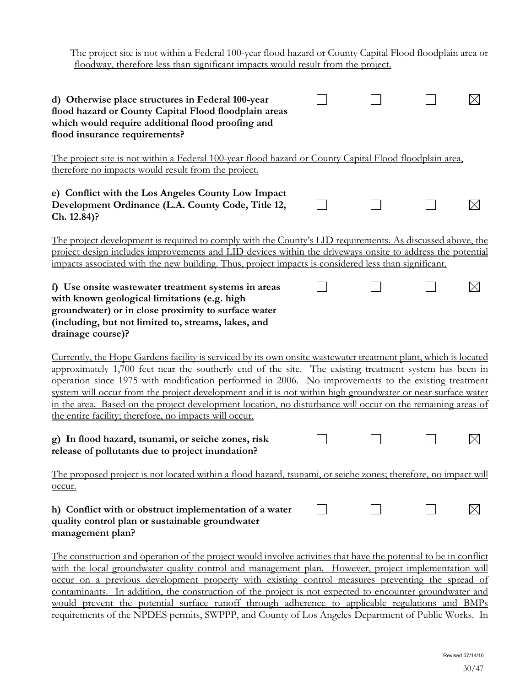| <u>The project site is not within a Federal 100-year flood hazard or County Capital Flood floodplain area or</u><br>floodway, therefore less than significant impacts would result from the project.                                                                                                                                                                                                                                                                                                                                                                                                                                                                          |  |  |
|-------------------------------------------------------------------------------------------------------------------------------------------------------------------------------------------------------------------------------------------------------------------------------------------------------------------------------------------------------------------------------------------------------------------------------------------------------------------------------------------------------------------------------------------------------------------------------------------------------------------------------------------------------------------------------|--|--|
| d) Otherwise place structures in Federal 100-year<br>flood hazard or County Capital Flood floodplain areas<br>which would require additional flood proofing and<br>flood insurance requirements?                                                                                                                                                                                                                                                                                                                                                                                                                                                                              |  |  |
| The project site is not within a Federal 100-year flood hazard or County Capital Flood floodplain area,<br>therefore no impacts would result from the project.                                                                                                                                                                                                                                                                                                                                                                                                                                                                                                                |  |  |
| e) Conflict with the Los Angeles County Low Impact<br>Development Ordinance (L.A. County Code, Title 12,<br>Ch. 12.84)?                                                                                                                                                                                                                                                                                                                                                                                                                                                                                                                                                       |  |  |
| The project development is required to comply with the County's LID requirements. As discussed above, the<br>project design includes improvements and LID devices within the driveways onsite to address the potential<br>impacts associated with the new building. Thus, project impacts is considered less than significant.                                                                                                                                                                                                                                                                                                                                                |  |  |
| f) Use onsite wastewater treatment systems in areas<br>with known geological limitations (e.g. high<br>groundwater) or in close proximity to surface water<br>(including, but not limited to, streams, lakes, and<br>drainage course)?                                                                                                                                                                                                                                                                                                                                                                                                                                        |  |  |
| Currently, the Hope Gardens facility is serviced by its own onsite wastewater treatment plant, which is located<br>approximately 1,700 feet near the southerly end of the site. The existing treatment system has been in<br>operation since 1975 with modification performed in 2006. No improvements to the existing treatment<br>system will occur from the project development and it is not within high groundwater or near surface water<br>in the area. Based on the project development location, no disturbance will occur on the remaining areas of<br>the entire facility; therefore, no impacts will occur.<br>g) In flood hazard, tsunami, or seiche zones, risk |  |  |
| release of pollutants due to project inundation?                                                                                                                                                                                                                                                                                                                                                                                                                                                                                                                                                                                                                              |  |  |
| The proposed project is not located within a flood hazard, tsunami, or seiche zones; therefore, no impact will<br>occur.                                                                                                                                                                                                                                                                                                                                                                                                                                                                                                                                                      |  |  |
| h) Conflict with or obstruct implementation of a water<br>quality control plan or sustainable groundwater<br>management plan?                                                                                                                                                                                                                                                                                                                                                                                                                                                                                                                                                 |  |  |
| The construction and operation of the project would involve activities that have the potential to be in conflict<br>with the local groundwater quality control and management plan. However, project implementation will<br>occur on a previous development property with existing control measures preventing the spread of<br>contaminants. In addition, the construction of the project is not expected to encounter groundwater and                                                                                                                                                                                                                                       |  |  |

contaminants. In addition, the construction of the project is not expected to encounter groundwater and would prevent the potential surface runoff through adherence to applicable regulations and BMPs requirements of the NPDES permits, SWPPP, and County of Los Angeles Department of Public Works. In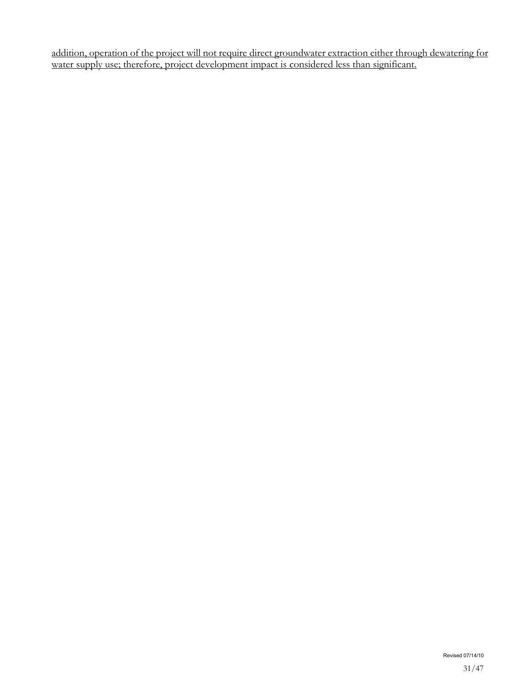addition, operation of the project will not require direct groundwater extraction either through dewatering for water supply use; therefore, project development impact is considered less than significant.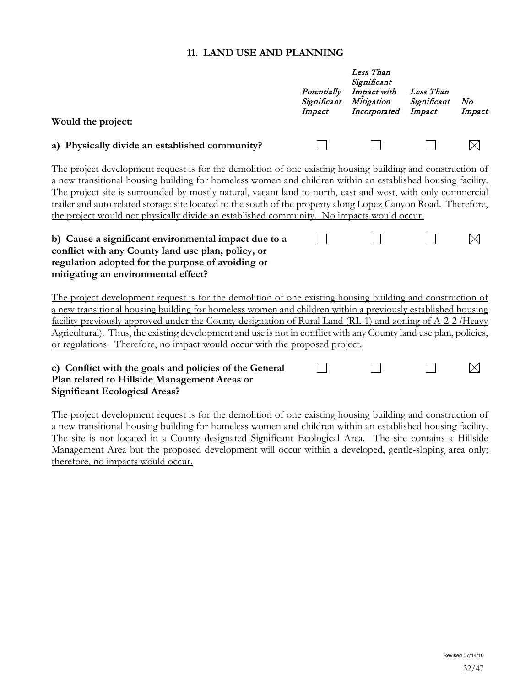# **11. LAND USE AND PLANNING**

|                                                                                                                                                                                                                                                                                                                                                                                                                                                                                                                                                         | Potentially<br>Significant<br>Impact | Less Than<br>Significant<br>Impact with<br>Mitigation<br>Incorporated | Less Than<br>Significant<br>Impact | N o<br>Impact |
|---------------------------------------------------------------------------------------------------------------------------------------------------------------------------------------------------------------------------------------------------------------------------------------------------------------------------------------------------------------------------------------------------------------------------------------------------------------------------------------------------------------------------------------------------------|--------------------------------------|-----------------------------------------------------------------------|------------------------------------|---------------|
| Would the project:                                                                                                                                                                                                                                                                                                                                                                                                                                                                                                                                      |                                      |                                                                       |                                    |               |
| a) Physically divide an established community?                                                                                                                                                                                                                                                                                                                                                                                                                                                                                                          |                                      |                                                                       |                                    | Ж             |
| The project development request is for the demolition of one existing housing building and construction of<br>a new transitional housing building for homeless women and children within an established housing facility.<br>The project site is surrounded by mostly natural, vacant land to north, east and west, with only commercial<br>trailer and auto related storage site located to the south of the property along Lopez Canyon Road. Therefore,<br>the project would not physically divide an established community. No impacts would occur. |                                      |                                                                       |                                    |               |
| b) Cause a significant environmental impact due to a<br>conflict with any County land use plan, policy, or<br>regulation adopted for the purpose of avoiding or<br>mitigating an environmental effect?                                                                                                                                                                                                                                                                                                                                                  |                                      |                                                                       |                                    | $\times$      |
| The project development request is for the demolition of one existing housing building and construction of<br>a new transitional housing building for homeless women and children within a previously established housing<br>facility previously approved under the County designation of Rural Land (RL-1) and zoning of A-2-2 (Heavy<br>Agricultural). Thus, the existing development and use is not in conflict with any County land use plan, policies,<br>or regulations. Therefore, no impact would occur with the proposed project.              |                                      |                                                                       |                                    |               |
| c) Conflict with the goals and policies of the General<br>Plan related to Hillside Management Areas or<br><b>Significant Ecological Areas?</b>                                                                                                                                                                                                                                                                                                                                                                                                          |                                      |                                                                       |                                    | $\boxtimes$   |
| The project development request is for the demolition of one existing housing building and construction of<br>a new transitional housing building for homeless women and children within an established housing facility.<br>The site is not located in a County designated Significant Ecological Area. The site contains a Hillside<br>Management Area but the proposed development will occur within a developed, gentle-sloping area only;                                                                                                          |                                      |                                                                       |                                    |               |

therefore, no impacts would occur.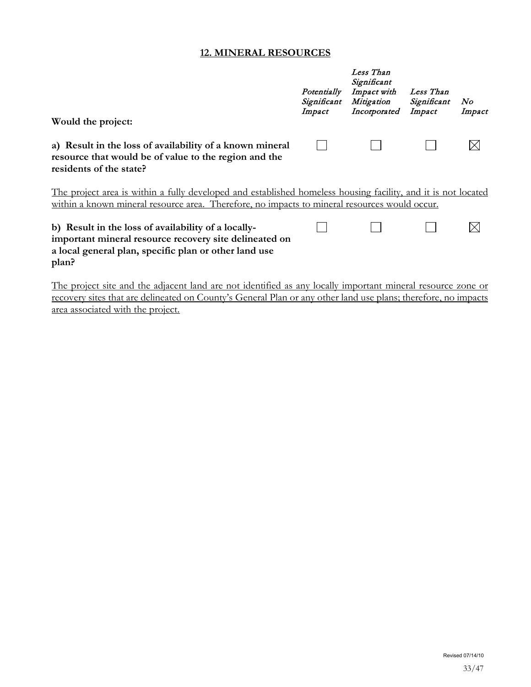#### **12. MINERAL RESOURCES**

| Would the project:                                                                                                                                                                                             | Potentially<br>Significant<br>Impact | Less Than<br>Significant<br>Impact with<br>Mitigation<br>Incorporated | Less Than<br>Significant<br>Impact | No<br>Impact |
|----------------------------------------------------------------------------------------------------------------------------------------------------------------------------------------------------------------|--------------------------------------|-----------------------------------------------------------------------|------------------------------------|--------------|
| a) Result in the loss of availability of a known mineral<br>resource that would be of value to the region and the<br>residents of the state?                                                                   |                                      |                                                                       |                                    |              |
| The project area is within a fully developed and established homeless housing facility, and it is not located<br>within a known mineral resource area. Therefore, no impacts to mineral resources would occur. |                                      |                                                                       |                                    |              |
| b) Result in the loss of availability of a locally-<br>important mineral resource recovery site delineated on<br>a local general plan, specific plan or other land use<br>plan?                                |                                      |                                                                       |                                    |              |

The project site and the adjacent land are not identified as any locally important mineral resource zone or recovery sites that are delineated on County's General Plan or any other land use plans; therefore, no impacts area associated with the project.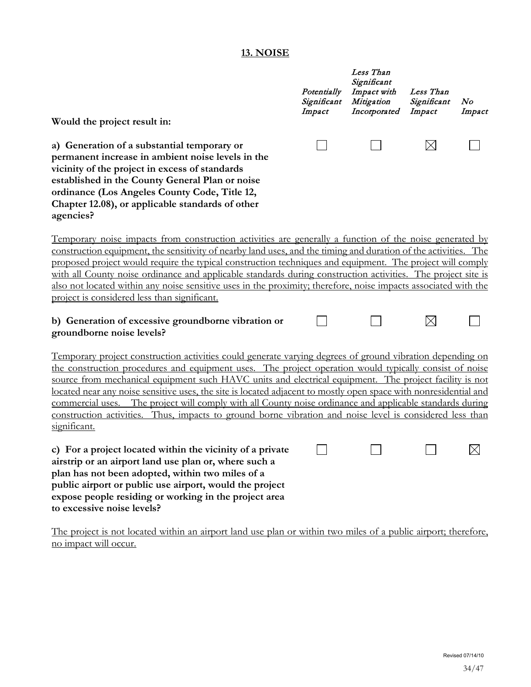# **13. NOISE**

|                                                                                                                                                                                                                                                                                                                                                                                                                                                                                                                                                                                                                                                                                           | Potentially<br>Significant<br>Impact | Less Than<br>Significant<br>Impact with<br>Mitigation<br>Incorporated | Less Than<br>Significant<br>Impact | N o<br>Impact |
|-------------------------------------------------------------------------------------------------------------------------------------------------------------------------------------------------------------------------------------------------------------------------------------------------------------------------------------------------------------------------------------------------------------------------------------------------------------------------------------------------------------------------------------------------------------------------------------------------------------------------------------------------------------------------------------------|--------------------------------------|-----------------------------------------------------------------------|------------------------------------|---------------|
| Would the project result in:                                                                                                                                                                                                                                                                                                                                                                                                                                                                                                                                                                                                                                                              |                                      |                                                                       |                                    |               |
| a) Generation of a substantial temporary or<br>permanent increase in ambient noise levels in the<br>vicinity of the project in excess of standards<br>established in the County General Plan or noise<br>ordinance (Los Angeles County Code, Title 12,<br>Chapter 12.08), or applicable standards of other<br>agencies?                                                                                                                                                                                                                                                                                                                                                                   |                                      |                                                                       | $\times$                           |               |
| <u>Temporary noise impacts from construction activities are generally a function of the noise generated by</u><br>construction equipment, the sensitivity of nearby land uses, and the timing and duration of the activities. The<br>proposed project would require the typical construction techniques and equipment. The project will comply<br>with all County noise ordinance and applicable standards during construction activities. The project site is<br>also not located within any noise sensitive uses in the proximity; therefore, noise impacts associated with the<br>project is considered less than significant.                                                         |                                      |                                                                       |                                    |               |
| b) Generation of excessive groundborne vibration or<br>groundborne noise levels?                                                                                                                                                                                                                                                                                                                                                                                                                                                                                                                                                                                                          |                                      |                                                                       | $\times$                           |               |
| Temporary project construction activities could generate varying degrees of ground vibration depending on<br>the construction procedures and equipment uses. The project operation would typically consist of noise<br>source from mechanical equipment such HAVC units and electrical equipment. The project facility is not<br>located near any noise sensitive uses, the site is located adjacent to mostly open space with nonresidential and<br>commercial uses. The project will comply with all County noise ordinance and applicable standards during<br>construction activities. Thus, impacts to ground borne vibration and noise level is considered less than<br>significant. |                                      |                                                                       |                                    |               |
| c) For a project located within the vicinity of a private<br>airstrip or an airport land use plan or, where such a<br>plan has not been adopted, within two miles of a<br>public airport or public use airport, would the project<br>expose people residing or working in the project area<br>to excessive noise levels?                                                                                                                                                                                                                                                                                                                                                                  |                                      |                                                                       |                                    |               |

The project is not located within an airport land use plan or within two miles of a public airport; therefore, no impact will occur.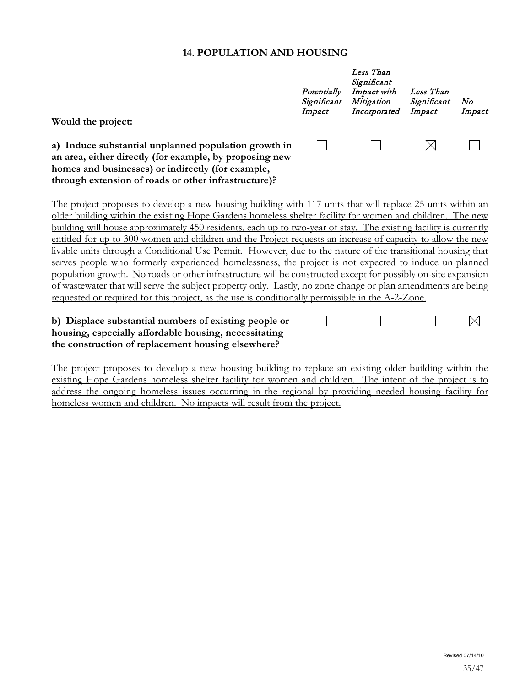#### **14. POPULATION AND HOUSING**

|                                                                                                                                                                                                                              | Potentially<br>Significant<br>Impact | Less Than<br>Significant<br>Impact with<br>Mitigation<br>Incorporated | Less Than<br>Significant<br>Impact | No<br>Impact |
|------------------------------------------------------------------------------------------------------------------------------------------------------------------------------------------------------------------------------|--------------------------------------|-----------------------------------------------------------------------|------------------------------------|--------------|
| Would the project:                                                                                                                                                                                                           |                                      |                                                                       |                                    |              |
| a) Induce substantial unplanned population growth in<br>an area, either directly (for example, by proposing new<br>homes and businesses) or indirectly (for example,<br>through extension of roads or other infrastructure)? |                                      |                                                                       | $\times$                           |              |
| The project proposes to develop a new housing building with 117 units that will replace 25 units within an                                                                                                                   |                                      |                                                                       |                                    |              |
| older building within the existing Hope Gardens homeless shelter facility for women and children. The new                                                                                                                    |                                      |                                                                       |                                    |              |
| building will house approximately 450 residents, each up to two-year of stay. The existing facility is currently                                                                                                             |                                      |                                                                       |                                    |              |
| entitled for up to 300 women and children and the Project requests an increase of capacity to allow the new                                                                                                                  |                                      |                                                                       |                                    |              |
| livable units through a Conditional Use Permit. However, due to the nature of the transitional housing that                                                                                                                  |                                      |                                                                       |                                    |              |
| serves people who formerly experienced homelessness, the project is not expected to induce un-planned                                                                                                                        |                                      |                                                                       |                                    |              |
| population growth. No roads or other infrastructure will be constructed except for possibly on-site expansion                                                                                                                |                                      |                                                                       |                                    |              |
| of wastewater that will serve the subject property only. Lastly, no zone change or plan amendments are being                                                                                                                 |                                      |                                                                       |                                    |              |
| requested or required for this project, as the use is conditionally permissible in the A-2-Zone.                                                                                                                             |                                      |                                                                       |                                    |              |
| b) Displace substantial numbers of existing people or<br>housing, especially affordable housing, necessitating                                                                                                               |                                      |                                                                       |                                    |              |

**the construction of replacement housing elsewhere?**

The project proposes to develop a new housing building to replace an existing older building within the existing Hope Gardens homeless shelter facility for women and children. The intent of the project is to address the ongoing homeless issues occurring in the regional by providing needed housing facility for homeless women and children. No impacts will result from the project.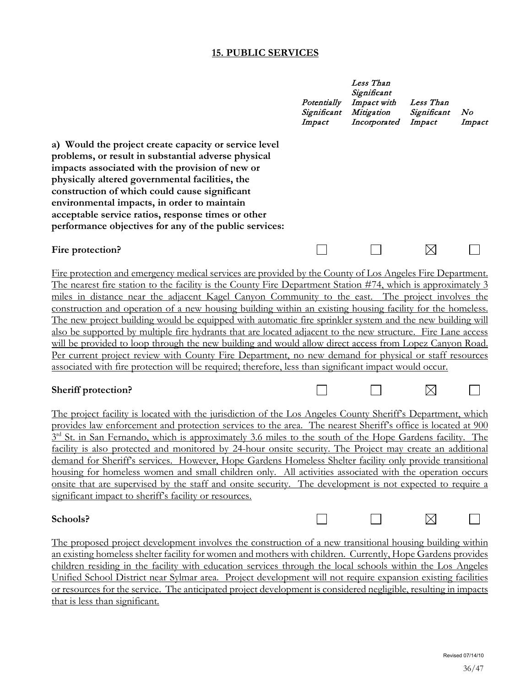#### **15. PUBLIC SERVICES**

|                                                                                                                                                                                                                                                                                                                                                                                                                                                                                                                                                                                                                                                                                                                                                                                                                                                                                                                                                                                                        | Potentially<br>Significant<br>Impact | Less Than<br>Significant<br>Impact with<br>Mitigation<br>Incorporated | Less Than<br>Significant<br>Impact | No<br>Impact |
|--------------------------------------------------------------------------------------------------------------------------------------------------------------------------------------------------------------------------------------------------------------------------------------------------------------------------------------------------------------------------------------------------------------------------------------------------------------------------------------------------------------------------------------------------------------------------------------------------------------------------------------------------------------------------------------------------------------------------------------------------------------------------------------------------------------------------------------------------------------------------------------------------------------------------------------------------------------------------------------------------------|--------------------------------------|-----------------------------------------------------------------------|------------------------------------|--------------|
| a) Would the project create capacity or service level<br>problems, or result in substantial adverse physical<br>impacts associated with the provision of new or<br>physically altered governmental facilities, the<br>construction of which could cause significant<br>environmental impacts, in order to maintain<br>acceptable service ratios, response times or other<br>performance objectives for any of the public services:                                                                                                                                                                                                                                                                                                                                                                                                                                                                                                                                                                     |                                      |                                                                       |                                    |              |
| Fire protection?                                                                                                                                                                                                                                                                                                                                                                                                                                                                                                                                                                                                                                                                                                                                                                                                                                                                                                                                                                                       |                                      |                                                                       | $\boxtimes$                        |              |
| Fire protection and emergency medical services are provided by the County of Los Angeles Fire Department.<br>The nearest fire station to the facility is the County Fire Department Station #74, which is approximately 3<br>miles in distance near the adjacent Kagel Canyon Community to the east. The project involves the<br>construction and operation of a new housing building within an existing housing facility for the homeless.<br>The new project building would be equipped with automatic fire sprinkler system and the new building will<br>also be supported by multiple fire hydrants that are located adjacent to the new structure. Fire Lane access<br>will be provided to loop through the new building and would allow direct access from Lopez Canyon Road.<br>Per current project review with County Fire Department, no new demand for physical or staff resources<br>associated with fire protection will be required; therefore, less than significant impact would occur. |                                      |                                                                       |                                    |              |
| Sheriff protection?                                                                                                                                                                                                                                                                                                                                                                                                                                                                                                                                                                                                                                                                                                                                                                                                                                                                                                                                                                                    |                                      |                                                                       | $\boxtimes$                        |              |
| The project facility is located with the jurisdiction of the Los Angeles County Sheriff's Department, which<br>provides law enforcement and protection services to the area. The nearest Sheriff's office is located at 900<br>$3rd$ St. in San Fernando, which is approximately 3.6 miles to the south of the Hope Gardens facility. The<br>facility is also protected and monitored by 24-hour onsite security. The Project may create an additional<br>demand for Sheriff's services. However, Hope Gardens Homeless Shelter facility only provide transitional<br>housing for homeless women and small children only. All activities associated with the operation occurs<br>onsite that are supervised by the staff and onsite security. The development is not expected to require a<br>significant impact to sheriff's facility or resources.                                                                                                                                                   |                                      |                                                                       |                                    |              |
| Schools?                                                                                                                                                                                                                                                                                                                                                                                                                                                                                                                                                                                                                                                                                                                                                                                                                                                                                                                                                                                               |                                      |                                                                       |                                    |              |
| The proposed project development involves the construction of a new transitional housing building within<br>an existing homeless shelter facility for women and mothers with children. Currently, Hope Gardens provides<br>children residing in the facility with education services through the local schools within the Los Angeles<br>Unified School District near Sylmar area. Project development will not require expansion existing facilities                                                                                                                                                                                                                                                                                                                                                                                                                                                                                                                                                  |                                      |                                                                       |                                    |              |

or resources for the service. The anticipated project development is considered negligible, resulting in impacts

that is less than significant.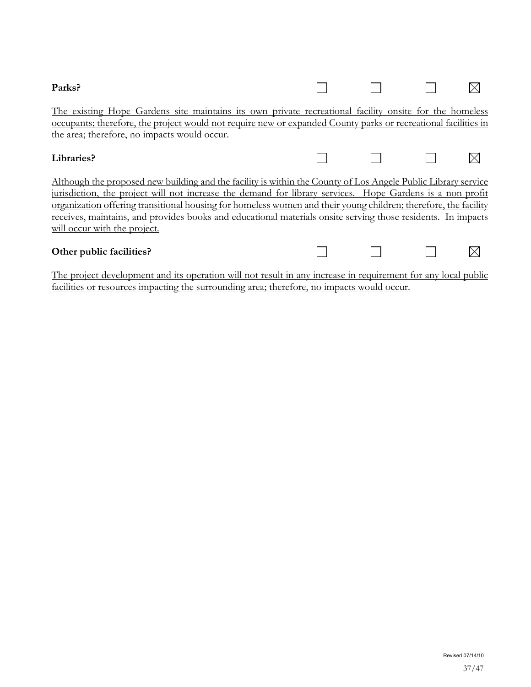| Parks?                                                                                                                                                                                                                                                                                                                                                                                                                                                                                                      |  |  |  |  |  |  |  |
|-------------------------------------------------------------------------------------------------------------------------------------------------------------------------------------------------------------------------------------------------------------------------------------------------------------------------------------------------------------------------------------------------------------------------------------------------------------------------------------------------------------|--|--|--|--|--|--|--|
| <u>The existing Hope Gardens site maintains its own private recreational facility onsite for the homeless</u><br>occupants; therefore, the project would not require new or expanded County parks or recreational facilities in<br>the area; therefore, no impacts would occur.                                                                                                                                                                                                                             |  |  |  |  |  |  |  |
| Libraries?                                                                                                                                                                                                                                                                                                                                                                                                                                                                                                  |  |  |  |  |  |  |  |
| <u>Although the proposed new building and the facility is within the County of Los Angele Public Library service</u><br>jurisdiction, the project will not increase the demand for library services. Hope Gardens is a non-profit<br>organization offering transitional housing for homeless women and their young children; therefore, the facility<br>receives, maintains, and provides books and educational materials onsite serving those residents. In impacts<br><u>will occur with the project.</u> |  |  |  |  |  |  |  |
| Other public facilities?                                                                                                                                                                                                                                                                                                                                                                                                                                                                                    |  |  |  |  |  |  |  |

The project development and its operation will not result in any increase in requirement for any local public facilities or resources impacting the surrounding area; therefore, no impacts would occur.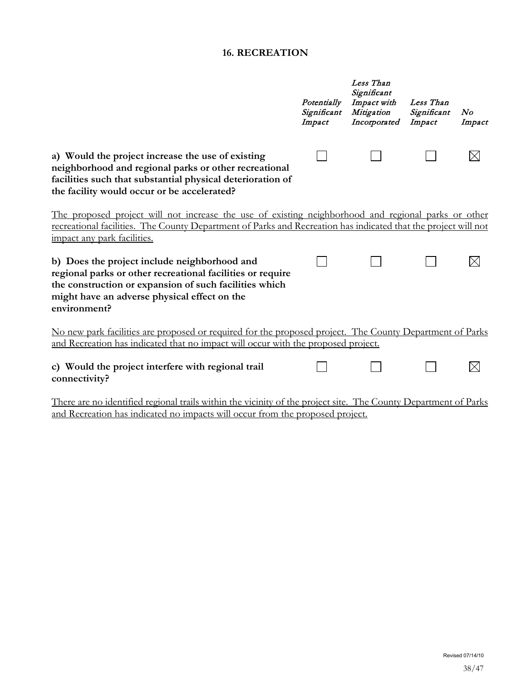# **16. RECREATION**

|                                                                                                                                                                                                                                                      | Potentially<br>Significant<br>Impact | Less Than<br>Significant<br>Impact with<br>Mitigation<br>Incorporated | Less Than<br>Significant<br>Impact | N o<br>Impact |
|------------------------------------------------------------------------------------------------------------------------------------------------------------------------------------------------------------------------------------------------------|--------------------------------------|-----------------------------------------------------------------------|------------------------------------|---------------|
| a) Would the project increase the use of existing<br>neighborhood and regional parks or other recreational<br>facilities such that substantial physical deterioration of<br>the facility would occur or be accelerated?                              |                                      |                                                                       |                                    |               |
| The proposed project will not increase the use of existing neighborhood and regional parks or other<br>recreational facilities. The County Department of Parks and Recreation has indicated that the project will not<br>impact any park facilities. |                                      |                                                                       |                                    |               |
| b) Does the project include neighborhood and<br>regional parks or other recreational facilities or require<br>the construction or expansion of such facilities which<br>might have an adverse physical effect on the<br>environment?                 |                                      |                                                                       |                                    |               |
| No new park facilities are proposed or required for the proposed project. The County Department of Parks<br>and Recreation has indicated that no impact will occur with the proposed project.                                                        |                                      |                                                                       |                                    |               |
| c) Would the project interfere with regional trail<br>connectivity?                                                                                                                                                                                  |                                      |                                                                       |                                    |               |
| There are no identified regional trails within the vicinity of the project site. The County Department of Parks                                                                                                                                      |                                      |                                                                       |                                    |               |

and Recreation has indicated no impacts will occur from the proposed project.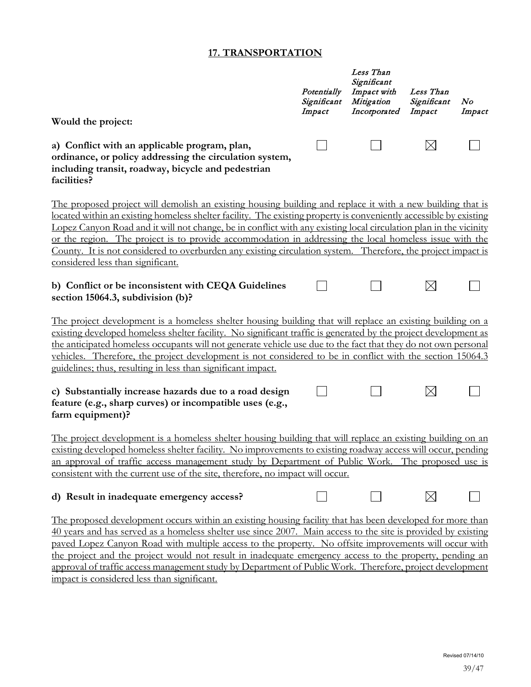# **17. TRANSPORTATION**

|                                                                                                                                                                                                                                                                                                                                                                                                                                                                                                                                                                                                                      | Potentially<br>Significant<br>Impact | Less Than<br>Significant<br>Impact with<br>Mitigation<br>Incorporated | Less Than<br>Significant<br>Impact | N o<br>Impact |
|----------------------------------------------------------------------------------------------------------------------------------------------------------------------------------------------------------------------------------------------------------------------------------------------------------------------------------------------------------------------------------------------------------------------------------------------------------------------------------------------------------------------------------------------------------------------------------------------------------------------|--------------------------------------|-----------------------------------------------------------------------|------------------------------------|---------------|
| Would the project:                                                                                                                                                                                                                                                                                                                                                                                                                                                                                                                                                                                                   |                                      |                                                                       |                                    |               |
| a) Conflict with an applicable program, plan,<br>ordinance, or policy addressing the circulation system,<br>including transit, roadway, bicycle and pedestrian<br>facilities?                                                                                                                                                                                                                                                                                                                                                                                                                                        |                                      |                                                                       | $\boxtimes$                        |               |
| The proposed project will demolish an existing housing building and replace it with a new building that is<br>located within an existing homeless shelter facility. The existing property is conveniently accessible by existing<br>Lopez Canyon Road and it will not change, be in conflict with any existing local circulation plan in the vicinity<br>or the region. The project is to provide accommodation in addressing the local homeless issue with the<br>County. It is not considered to overburden any existing circulation system. Therefore, the project impact is<br>considered less than significant. |                                      |                                                                       |                                    |               |
| b) Conflict or be inconsistent with CEQA Guidelines<br>section 15064.3, subdivision (b)?                                                                                                                                                                                                                                                                                                                                                                                                                                                                                                                             |                                      |                                                                       | $\boxtimes$                        |               |
| The project development is a homeless shelter housing building that will replace an existing building on a<br>existing developed homeless shelter facility. No significant traffic is generated by the project development as<br>the anticipated homeless occupants will not generate vehicle use due to the fact that they do not own personal<br>vehicles. Therefore, the project development is not considered to be in conflict with the section 15064.3<br>guidelines; thus, resulting in less than significant impact.                                                                                         |                                      |                                                                       |                                    |               |
| c) Substantially increase hazards due to a road design<br>feature (e.g., sharp curves) or incompatible uses (e.g.,<br>farm equipment)?                                                                                                                                                                                                                                                                                                                                                                                                                                                                               |                                      |                                                                       | $\boxtimes$                        |               |
| The project development is a homeless shelter housing building that will replace an existing building on an<br>existing developed homeless shelter facility. No improvements to existing roadway access will occur, pending<br>an approval of traffic access management study by Department of Public Work. The proposed use is<br>consistent with the current use of the site, therefore, no impact will occur.                                                                                                                                                                                                     |                                      |                                                                       |                                    |               |
| d) Result in inadequate emergency access?                                                                                                                                                                                                                                                                                                                                                                                                                                                                                                                                                                            |                                      |                                                                       | $\times$                           |               |
| The proposed development occurs within an existing housing facility that has been developed for more than<br>40 years and has served as a homeless shelter use since 2007. Main access to the site is provided by existing<br>paved Lopez Canyon Road with multiple access to the property. No offsite improvements will occur with<br>the project and the project would not result in inadequate emergency access to the property, pending an<br>approval of traffic access management study by Department of Public Work. Therefore, project development                                                           |                                      |                                                                       |                                    |               |

impact is considered less than significant.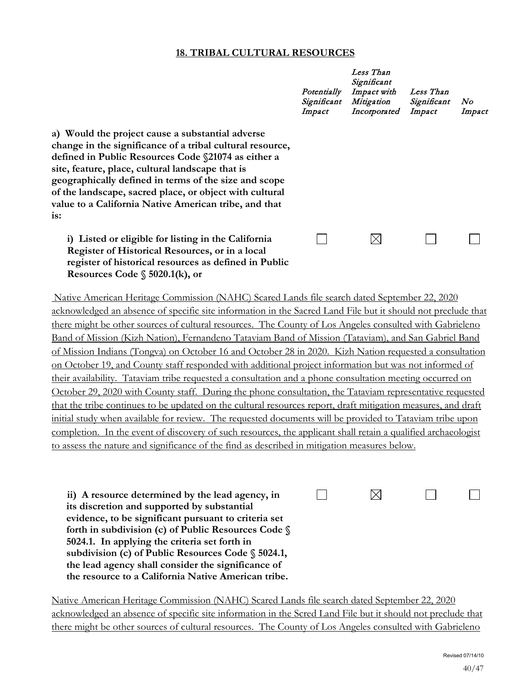#### **18. TRIBAL CULTURAL RESOURCES**

|                                                                                                                                                                                                                                                                                                                                                                                                              | Potentially<br>Significant<br>Impact | Less Than<br>Significant<br>Impact with<br>Mitigation<br>Incorporated | Less Than<br>Significant<br>Impact | No<br>Impact |
|--------------------------------------------------------------------------------------------------------------------------------------------------------------------------------------------------------------------------------------------------------------------------------------------------------------------------------------------------------------------------------------------------------------|--------------------------------------|-----------------------------------------------------------------------|------------------------------------|--------------|
| a) Would the project cause a substantial adverse<br>change in the significance of a tribal cultural resource,<br>defined in Public Resources Code §21074 as either a<br>site, feature, place, cultural landscape that is<br>geographically defined in terms of the size and scope<br>of the landscape, sacred place, or object with cultural<br>value to a California Native American tribe, and that<br>is: |                                      |                                                                       |                                    |              |
| i) Listed or eligible for listing in the California<br>Register of Historical Resources, or in a local<br>register of historical resources as defined in Public<br>Resources Code $\S$ 5020.1(k), or                                                                                                                                                                                                         |                                      |                                                                       |                                    |              |

Native American Heritage Commission (NAHC) Scared Lands file search dated September 22, 2020 acknowledged an absence of specific site information in the Sacred Land File but it should not preclude that there might be other sources of cultural resources. The County of Los Angeles consulted with Gabrieleno Band of Mission (Kizh Nation), Fernandeno Tataviam Band of Mission (Tataviam), and San Gabriel Band of Mission Indians (Tongva) on October 16 and October 28 in 2020. Kizh Nation requested a consultation on October 19, and County staff responded with additional project information but was not informed of their availability. Tataviam tribe requested a consultation and a phone consultation meeting occurred on October 29, 2020 with County staff. During the phone consultation, the Tataviam representative requested that the tribe continues to be updated on the cultural resources report, draft mitigation measures, and draft initial study when available for review. The requested documents will be provided to Tataviam tribe upon completion. In the event of discovery of such resources, the applicant shall retain a qualified archaeologist to assess the nature and significance of the find as described in mitigation measures below.

| ii) A resource determined by the lead agency, in      |  |  |
|-------------------------------------------------------|--|--|
| its discretion and supported by substantial           |  |  |
| evidence, to be significant pursuant to criteria set  |  |  |
| forth in subdivision (c) of Public Resources Code §   |  |  |
| 5024.1. In applying the criteria set forth in         |  |  |
| subdivision (c) of Public Resources Code $\S$ 5024.1, |  |  |
| the lead agency shall consider the significance of    |  |  |
| the resource to a California Native American tribe.   |  |  |

Native American Heritage Commission (NAHC) Scared Lands file search dated September 22, 2020 acknowledged an absence of specific site information in the Scred Land File but it should not preclude that there might be other sources of cultural resources. The County of Los Angeles consulted with Gabrieleno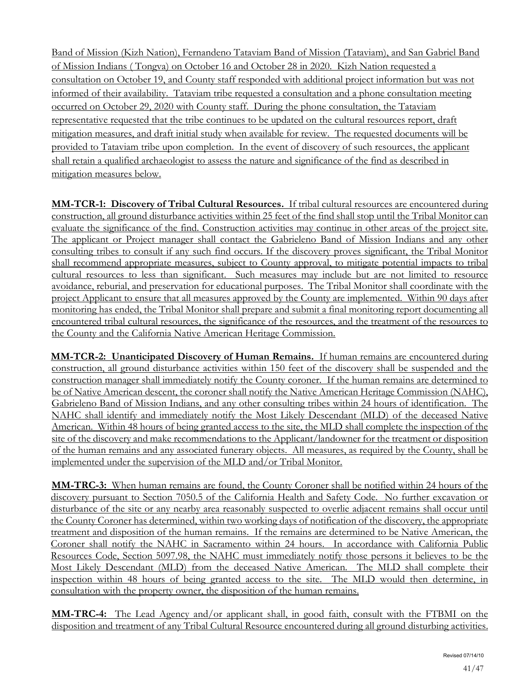Band of Mission (Kizh Nation), Fernandeno Tataviam Band of Mission (Tataviam), and San Gabriel Band of Mission Indians ( Tongva) on October 16 and October 28 in 2020. Kizh Nation requested a consultation on October 19, and County staff responded with additional project information but was not informed of their availability. Tataviam tribe requested a consultation and a phone consultation meeting occurred on October 29, 2020 with County staff. During the phone consultation, the Tataviam representative requested that the tribe continues to be updated on the cultural resources report, draft mitigation measures, and draft initial study when available for review. The requested documents will be provided to Tataviam tribe upon completion. In the event of discovery of such resources, the applicant shall retain a qualified archaeologist to assess the nature and significance of the find as described in mitigation measures below.

**MM-TCR-1: Discovery of Tribal Cultural Resources.** If tribal cultural resources are encountered during construction, all ground disturbance activities within 25 feet of the find shall stop until the Tribal Monitor can evaluate the significance of the find. Construction activities may continue in other areas of the project site. The applicant or Project manager shall contact the Gabrieleno Band of Mission Indians and any other consulting tribes to consult if any such find occurs. If the discovery proves significant, the Tribal Monitor shall recommend appropriate measures, subject to County approval, to mitigate potential impacts to tribal cultural resources to less than significant. Such measures may include but are not limited to resource avoidance, reburial, and preservation for educational purposes. The Tribal Monitor shall coordinate with the project Applicant to ensure that all measures approved by the County are implemented. Within 90 days after monitoring has ended, the Tribal Monitor shall prepare and submit a final monitoring report documenting all encountered tribal cultural resources, the significance of the resources, and the treatment of the resources to the County and the California Native American Heritage Commission.

**MM-TCR-2: Unanticipated Discovery of Human Remains.** If human remains are encountered during construction, all ground disturbance activities within 150 feet of the discovery shall be suspended and the construction manager shall immediately notify the County coroner. If the human remains are determined to be of Native American descent, the coroner shall notify the Native American Heritage Commission (NAHC), Gabrieleno Band of Mission Indians, and any other consulting tribes within 24 hours of identification. The NAHC shall identify and immediately notify the Most Likely Descendant (MLD) of the deceased Native American. Within 48 hours of being granted access to the site, the MLD shall complete the inspection of the site of the discovery and make recommendations to the Applicant/landowner for the treatment or disposition of the human remains and any associated funerary objects. All measures, as required by the County, shall be implemented under the supervision of the MLD and/or Tribal Monitor.

**MM-TRC-3:** When human remains are found, the County Coroner shall be notified within 24 hours of the discovery pursuant to Section 7050.5 of the California Health and Safety Code. No further excavation or disturbance of the site or any nearby area reasonably suspected to overlie adjacent remains shall occur until the County Coroner has determined, within two working days of notification of the discovery, the appropriate treatment and disposition of the human remains. If the remains are determined to be Native American, the Coroner shall notify the NAHC in Sacramento within 24 hours. In accordance with California Public Resources Code, Section 5097.98, the NAHC must immediately notify those persons it believes to be the Most Likely Descendant (MLD) from the deceased Native American. The MLD shall complete their inspection within 48 hours of being granted access to the site. The MLD would then determine, in consultation with the property owner, the disposition of the human remains.

**MM-TRC-4:** The Lead Agency and/or applicant shall, in good faith, consult with the FTBMI on the disposition and treatment of any Tribal Cultural Resource encountered during all ground disturbing activities.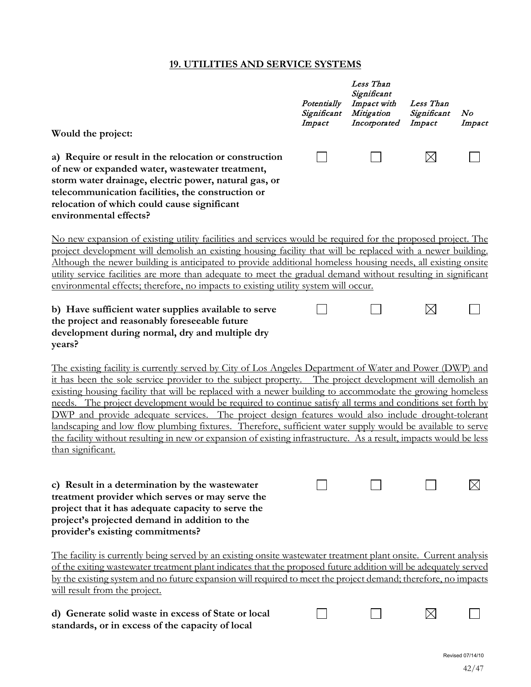# **19. UTILITIES AND SERVICE SYSTEMS**

|                                                                                                                                                                                                                                                                                                                                                                                                                                                                                                                                                                                                                                                                                                                                                                                                              | Potentially<br>Significant<br>Impact | Less Than<br>Significant<br>Impact with<br>Mitigation<br>Incorporated | Less Than<br>Significant<br>Impact | N o<br>Impact |
|--------------------------------------------------------------------------------------------------------------------------------------------------------------------------------------------------------------------------------------------------------------------------------------------------------------------------------------------------------------------------------------------------------------------------------------------------------------------------------------------------------------------------------------------------------------------------------------------------------------------------------------------------------------------------------------------------------------------------------------------------------------------------------------------------------------|--------------------------------------|-----------------------------------------------------------------------|------------------------------------|---------------|
| Would the project:<br>a) Require or result in the relocation or construction<br>of new or expanded water, wastewater treatment,<br>storm water drainage, electric power, natural gas, or<br>telecommunication facilities, the construction or<br>relocation of which could cause significant<br>environmental effects?                                                                                                                                                                                                                                                                                                                                                                                                                                                                                       |                                      |                                                                       | $\boxtimes$                        |               |
| No new expansion of existing utility facilities and services would be required for the proposed project. The<br>project development will demolish an existing housing facility that will be replaced with a newer building.<br>Although the newer building is anticipated to provide additional homeless housing needs, all existing onsite<br>utility service facilities are more than adequate to meet the gradual demand without resulting in significant<br>environmental effects; therefore, no impacts to existing utility system will occur.                                                                                                                                                                                                                                                          |                                      |                                                                       |                                    |               |
| b) Have sufficient water supplies available to serve<br>the project and reasonably foreseeable future<br>development during normal, dry and multiple dry<br>years?                                                                                                                                                                                                                                                                                                                                                                                                                                                                                                                                                                                                                                           |                                      |                                                                       | $\boxtimes$                        |               |
| The existing facility is currently served by City of Los Angeles Department of Water and Power (DWP) and<br>it has been the sole service provider to the subject property. The project development will demolish an<br>existing housing facility that will be replaced with a newer building to accommodate the growing homeless<br>needs. The project development would be required to continue satisfy all terms and conditions set forth by<br>DWP and provide adequate services. The project design features would also include drought-tolerant<br>landscaping and low flow plumbing fixtures. Therefore, sufficient water supply would be available to serve<br>the facility without resulting in new or expansion of existing infrastructure. As a result, impacts would be less<br>than significant. |                                      |                                                                       |                                    |               |
| c) Result in a determination by the wastewater<br>treatment provider which serves or may serve the<br>project that it has adequate capacity to serve the<br>project's projected demand in addition to the<br>provider's existing commitments?                                                                                                                                                                                                                                                                                                                                                                                                                                                                                                                                                                |                                      |                                                                       |                                    |               |
| The facility is currently being served by an existing onsite wastewater treatment plant onsite. Current analysis<br>of the exiting wastewater treatment plant indicates that the proposed future addition will be adequately served<br>by the existing system and no future expansion will required to meet the project demand; therefore, no impacts<br>will result from the project.                                                                                                                                                                                                                                                                                                                                                                                                                       |                                      |                                                                       |                                    |               |
| d) Generate solid waste in excess of State or local<br>standards, or in excess of the capacity of local                                                                                                                                                                                                                                                                                                                                                                                                                                                                                                                                                                                                                                                                                                      |                                      |                                                                       |                                    |               |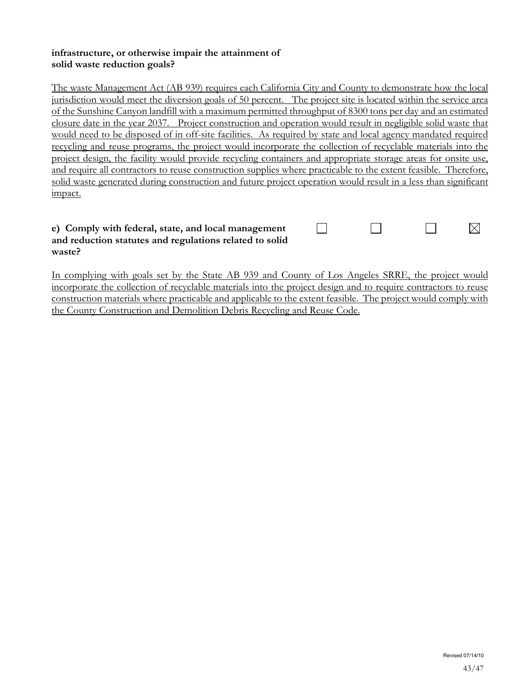#### **infrastructure, or otherwise impair the attainment of solid waste reduction goals?**

The waste Management Act (AB 939) requires each California City and County to demonstrate how the local jurisdiction would meet the diversion goals of 50 percent. The project site is located within the service area of the Sunshine Canyon landfill with a maximum permitted throughput of 8300 tons per day and an estimated closure date in the year 2037. Project construction and operation would result in negligible solid waste that would need to be disposed of in off-site facilities. As required by state and local agency mandated required recycling and reuse programs, the project would incorporate the collection of recyclable materials into the project design, the facility would provide recycling containers and appropriate storage areas for onsite use, and require all contractors to reuse construction supplies where practicable to the extent feasible. Therefore, solid waste generated during construction and future project operation would result in a less than significant impact.

#### **e) Comply with federal, state, and local management and reduction statutes and regulations related to solid waste?**

 $\Box$  $\Box$  $\Box$  $\boxtimes$ 

In complying with goals set by the State AB 939 and County of Los Angeles SRRE, the project would incorporate the collection of recyclable materials into the project design and to require contractors to reuse construction materials where practicable and applicable to the extent feasible. The project would comply with the County Construction and Demolition Debris Recycling and Reuse Code.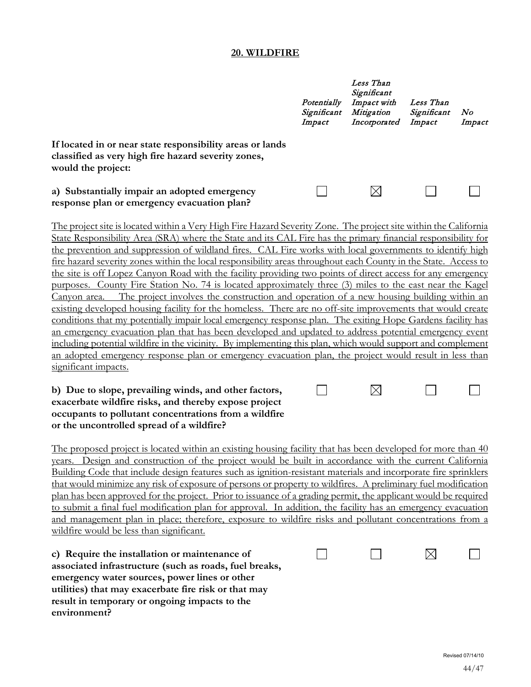#### **20. WILDFIRE**

|                                                                                                                                                                                                                                                                                                                                               | Potentially<br>Significant<br>Impact | Less Than<br>Significant<br>Impact with<br>Mitigation<br>Incorporated | Less Than<br>Significant<br>Impact | No<br>Impact |
|-----------------------------------------------------------------------------------------------------------------------------------------------------------------------------------------------------------------------------------------------------------------------------------------------------------------------------------------------|--------------------------------------|-----------------------------------------------------------------------|------------------------------------|--------------|
| If located in or near state responsibility areas or lands<br>classified as very high fire hazard severity zones,<br>would the project:                                                                                                                                                                                                        |                                      |                                                                       |                                    |              |
| a) Substantially impair an adopted emergency<br>response plan or emergency evacuation plan?                                                                                                                                                                                                                                                   |                                      |                                                                       |                                    |              |
| The project site is located within a Very High Fire Hazard Severity Zone. The project site within the California<br>State Responsibility Area (SRA) where the State and its CAL Fire has the primary financial responsibility for<br>the prevention and suppression of wildland fires. CAL Fire works with local governments to identify high |                                      |                                                                       |                                    |              |
| fire hazard severity zones within the local responsibility areas throughout each County in the State. Access to<br>the site is off Lopez Canyon Road with the facility providing two points of direct access for any emergency                                                                                                                |                                      |                                                                       |                                    |              |
| County Fire Station No. 74 is located approximately three (3) miles to the east near the Kagel<br>purposes.<br>The project involves the construction and operation of a new housing building within an<br>Canyon area.                                                                                                                        |                                      |                                                                       |                                    |              |

existing developed housing facility for the homeless. There are no off-site improvements that would create conditions that my potentially impair local emergency response plan. The exiting Hope Gardens facility has an emergency evacuation plan that has been developed and updated to address potential emergency event including potential wildfire in the vicinity. By implementing this plan, which would support and complement an adopted emergency response plan or emergency evacuation plan, the project would result in less than significant impacts.

 $\Box$ 

 $\boxtimes$ 

 $\Box$ 

#### **b) Due to slope, prevailing winds, and other factors, exacerbate wildfire risks, and thereby expose project occupants to pollutant concentrations from a wildfire or the uncontrolled spread of a wildfire?**

The proposed project is located within an existing housing facility that has been developed for more than 40 years. Design and construction of the project would be built in accordance with the current California Building Code that include design features such as ignition-resistant materials and incorporate fire sprinklers that would minimize any risk of exposure of persons or property to wildfires. A preliminary fuel modification plan has been approved for the project. Prior to issuance of a grading permit, the applicant would be required to submit a final fuel modification plan for approval. In addition, the facility has an emergency evacuation and management plan in place; therefore, exposure to wildfire risks and pollutant concentrations from a wildfire would be less than significant.

**c) Require the installation or maintenance of associated infrastructure (such as roads, fuel breaks, emergency water sources, power lines or other utilities) that may exacerbate fire risk or that may result in temporary or ongoing impacts to the environment?**

| $\begin{array}{ccccccccccccccccc} \multicolumn{3}{c}{} & \multicolumn{3}{c}{} & \multicolumn{3}{c}{} & \multicolumn{3}{c}{} & \multicolumn{3}{c}{} & \multicolumn{3}{c}{} & \multicolumn{3}{c}{} & \multicolumn{3}{c}{} & \multicolumn{3}{c}{} & \multicolumn{3}{c}{} & \multicolumn{3}{c}{} & \multicolumn{3}{c}{} & \multicolumn{3}{c}{} & \multicolumn{3}{c}{} & \multicolumn{3}{c}{} & \multicolumn{3}{c}{} & \multicolumn{3}{c}{} & \multicolumn{3}{c}{} & \multicolumn{3}{c}{} &$ |  |
|-----------------------------------------------------------------------------------------------------------------------------------------------------------------------------------------------------------------------------------------------------------------------------------------------------------------------------------------------------------------------------------------------------------------------------------------------------------------------------------------|--|
|                                                                                                                                                                                                                                                                                                                                                                                                                                                                                         |  |
|                                                                                                                                                                                                                                                                                                                                                                                                                                                                                         |  |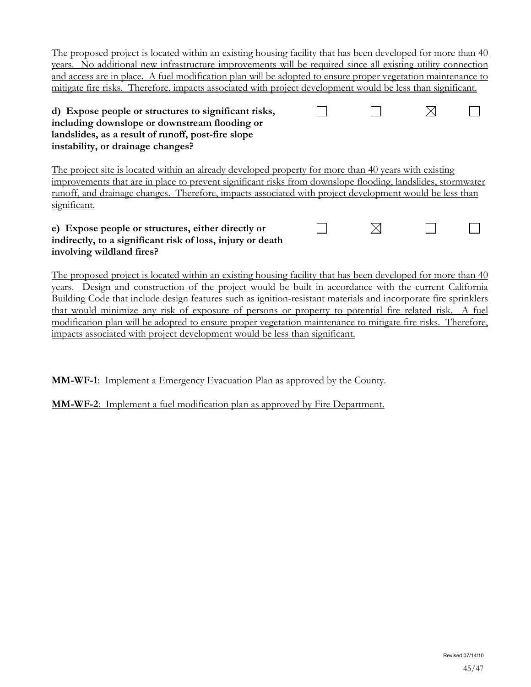| The proposed project is located within an existing housing facility that has been developed for more than 40<br>years. No additional new infrastructure improvements will be required since all existing utility connection<br>and access are in place. A fuel modification plan will be adopted to ensure proper vegetation maintenance to<br>mitigate fire risks. Therefore, impacts associated with project development would be less than significant. |  |  |
|------------------------------------------------------------------------------------------------------------------------------------------------------------------------------------------------------------------------------------------------------------------------------------------------------------------------------------------------------------------------------------------------------------------------------------------------------------|--|--|
| d) Expose people or structures to significant risks,<br>including downslope or downstream flooding or<br>landslides, as a result of runoff, post-fire slope<br>instability, or drainage changes?                                                                                                                                                                                                                                                           |  |  |
| The project site is located within an already developed property for more than 40 years with existing<br>improvements that are in place to prevent significant risks from downslope flooding, landslides, stormwater<br>runoff, and drainage changes. Therefore, impacts associated with project development would be less than<br>significant.                                                                                                            |  |  |
| e) Expose people or structures, either directly or                                                                                                                                                                                                                                                                                                                                                                                                         |  |  |

# **indirectly, to a significant risk of loss, injury or death involving wildland fires?**

The proposed project is located within an existing housing facility that has been developed for more than 40 years. Design and construction of the project would be built in accordance with the current California Building Code that include design features such as ignition-resistant materials and incorporate fire sprinklers that would minimize any risk of exposure of persons or property to potential fire related risk. A fuel modification plan will be adopted to ensure proper vegetation maintenance to mitigate fire risks. Therefore, impacts associated with project development would be less than significant.

**MM-WF-1**: Implement a Emergency Evacuation Plan as approved by the County.

**MM-WF-2**: Implement a fuel modification plan as approved by Fire Department.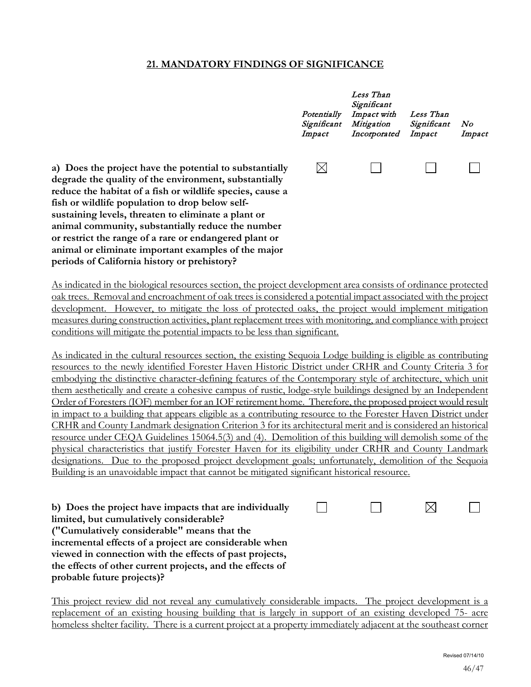## **21. MANDATORY FINDINGS OF SIGNIFICANCE**

|                       | Potentially<br>Significant<br>Impact | Less Than<br>Significant<br>Impact with<br>Mitigation<br>Incorporated | Less Than<br>Significant<br>Impact | No<br>Impact |
|-----------------------|--------------------------------------|-----------------------------------------------------------------------|------------------------------------|--------------|
| ially<br>ılly<br>se a |                                      |                                                                       |                                    |              |

a) Does the project have the potential to substanti degrade the quality of the environment, substantia reduce the habitat of a fish or wildlife species, caus **fish or wildlife population to drop below selfsustaining levels, threaten to eliminate a plant or animal community, substantially reduce the number or restrict the range of a rare or endangered plant or animal or eliminate important examples of the major periods of California history or prehistory?**

As indicated in the biological resources section, the project development area consists of ordinance protected oak trees. Removal and encroachment of oak trees is considered a potential impact associated with the project development. However, to mitigate the loss of protected oaks, the project would implement mitigation measures during construction activities, plant replacement trees with monitoring, and compliance with project conditions will mitigate the potential impacts to be less than significant.

As indicated in the cultural resources section, the existing Sequoia Lodge building is eligible as contributing resources to the newly identified Forester Haven Historic District under CRHR and County Criteria 3 for embodying the distinctive character-defining features of the Contemporary style of architecture, which unit them aesthetically and create a cohesive campus of rustic, lodge-style buildings designed by an Independent Order of Foresters (IOF) member for an IOF retirement home. Therefore, the proposed project would result in impact to a building that appears eligible as a contributing resource to the Forester Haven District under CRHR and County Landmark designation Criterion 3 for its architectural merit and is considered an historical resource under CEQA Guidelines 15064.5(3) and (4). Demolition of this building will demolish some of the physical characteristics that justify Forester Haven for its eligibility under CRHR and County Landmark designations. Due to the proposed project development goals; unfortunately, demolition of the Sequoia Building is an unavoidable impact that cannot be mitigated significant historical resource.

| b) Does the project have impacts that are individually    | $\mathbf{1}$ |  |  |
|-----------------------------------------------------------|--------------|--|--|
| limited, but cumulatively considerable?                   |              |  |  |
| ("Cumulatively considerable" means that the               |              |  |  |
| incremental effects of a project are considerable when    |              |  |  |
| viewed in connection with the effects of past projects,   |              |  |  |
| the effects of other current projects, and the effects of |              |  |  |
| probable future projects)?                                |              |  |  |

This project review did not reveal any cumulatively considerable impacts. The project development is a replacement of an existing housing building that is largely in support of an existing developed 75- acre homeless shelter facility. There is a current project at a property immediately adjacent at the southeast corner